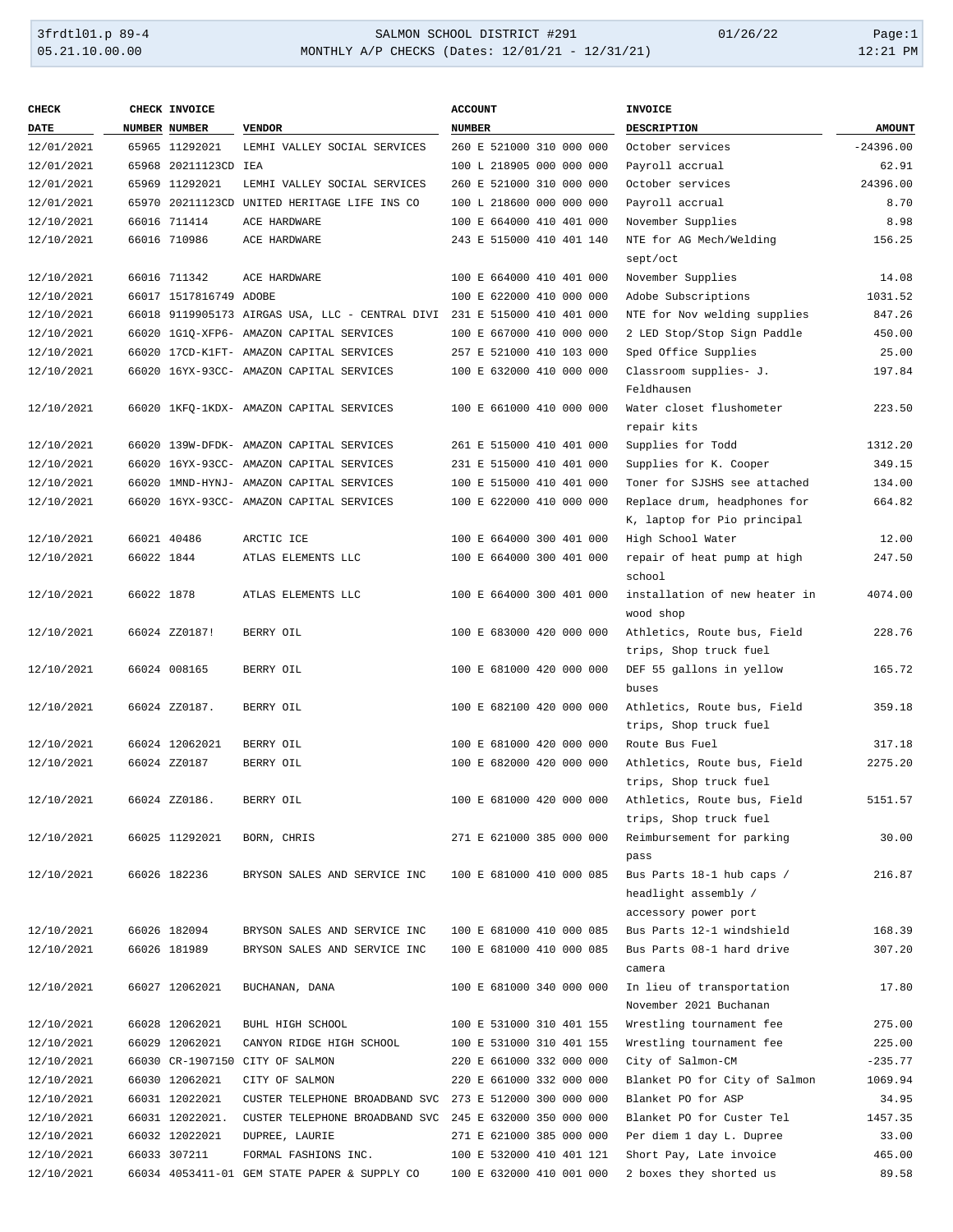| <b>CHECK</b> |            | CHECK INVOICE          |                                                 | <b>ACCOUNT</b>           | <b>INVOICE</b>                |               |
|--------------|------------|------------------------|-------------------------------------------------|--------------------------|-------------------------------|---------------|
| <b>DATE</b>  |            | NUMBER NUMBER          | <b>VENDOR</b>                                   | <b>NUMBER</b>            | DESCRIPTION                   | <b>AMOUNT</b> |
| 12/01/2021   |            | 65965 11292021         | LEMHI VALLEY SOCIAL SERVICES                    | 260 E 521000 310 000 000 | October services              | $-24396.00$   |
| 12/01/2021   |            | 65968 20211123CD IEA   |                                                 | 100 L 218905 000 000 000 | Payroll accrual               | 62.91         |
| 12/01/2021   |            | 65969 11292021         | LEMHI VALLEY SOCIAL SERVICES                    | 260 E 521000 310 000 000 | October services              | 24396.00      |
| 12/01/2021   |            |                        | 65970 20211123CD UNITED HERITAGE LIFE INS CO    | 100 L 218600 000 000 000 | Payroll accrual               | 8.70          |
| 12/10/2021   |            | 66016 711414           | ACE HARDWARE                                    | 100 E 664000 410 401 000 | November Supplies             | 8.98          |
| 12/10/2021   |            | 66016 710986           | ACE HARDWARE                                    | 243 E 515000 410 401 140 | NTE for AG Mech/Welding       | 156.25        |
|              |            |                        |                                                 |                          | sept/oct                      |               |
| 12/10/2021   |            | 66016 711342           | ACE HARDWARE                                    | 100 E 664000 410 401 000 | November Supplies             | 14.08         |
| 12/10/2021   |            | 66017 1517816749 ADOBE |                                                 | 100 E 622000 410 000 000 | Adobe Subscriptions           | 1031.52       |
| 12/10/2021   |            |                        | 66018 9119905173 AIRGAS USA, LLC - CENTRAL DIVI | 231 E 515000 410 401 000 | NTE for Nov welding supplies  | 847.26        |
| 12/10/2021   |            |                        | 66020 1G1Q-XFP6- AMAZON CAPITAL SERVICES        | 100 E 667000 410 000 000 | 2 LED Stop/Stop Sign Paddle   | 450.00        |
| 12/10/2021   |            |                        | 66020 17CD-K1FT- AMAZON CAPITAL SERVICES        | 257 E 521000 410 103 000 | Sped Office Supplies          | 25.00         |
| 12/10/2021   |            |                        | 66020 16YX-93CC- AMAZON CAPITAL SERVICES        | 100 E 632000 410 000 000 | Classroom supplies- J.        | 197.84        |
|              |            |                        |                                                 |                          | Feldhausen                    |               |
| 12/10/2021   |            |                        | 66020 1KFQ-1KDX- AMAZON CAPITAL SERVICES        | 100 E 661000 410 000 000 | Water closet flushometer      | 223.50        |
|              |            |                        |                                                 |                          | repair kits                   |               |
| 12/10/2021   |            |                        | 66020 139W-DFDK- AMAZON CAPITAL SERVICES        | 261 E 515000 410 401 000 | Supplies for Todd             | 1312.20       |
| 12/10/2021   |            |                        | 66020 16YX-93CC- AMAZON CAPITAL SERVICES        | 231 E 515000 410 401 000 | Supplies for K. Cooper        | 349.15        |
| 12/10/2021   |            |                        | 66020 1MND-HYNJ- AMAZON CAPITAL SERVICES        | 100 E 515000 410 401 000 | Toner for SJSHS see attached  | 134.00        |
| 12/10/2021   |            |                        | 66020 16YX-93CC- AMAZON CAPITAL SERVICES        | 100 E 622000 410 000 000 | Replace drum, headphones for  | 664.82        |
|              |            |                        |                                                 |                          | K, laptop for Pio principal   |               |
| 12/10/2021   |            | 66021 40486            | ARCTIC ICE                                      | 100 E 664000 300 401 000 | High School Water             | 12.00         |
| 12/10/2021   | 66022 1844 |                        | ATLAS ELEMENTS LLC                              | 100 E 664000 300 401 000 | repair of heat pump at high   | 247.50        |
|              |            |                        |                                                 |                          | school                        |               |
| 12/10/2021   | 66022 1878 |                        | ATLAS ELEMENTS LLC                              | 100 E 664000 300 401 000 | installation of new heater in | 4074.00       |
|              |            |                        |                                                 |                          | wood shop                     |               |
| 12/10/2021   |            | 66024 ZZ0187!          | BERRY OIL                                       | 100 E 683000 420 000 000 | Athletics, Route bus, Field   | 228.76        |
|              |            |                        |                                                 |                          | trips, Shop truck fuel        |               |
| 12/10/2021   |            | 66024 008165           | BERRY OIL                                       | 100 E 681000 420 000 000 | DEF 55 gallons in yellow      | 165.72        |
|              |            |                        |                                                 |                          | buses                         |               |
| 12/10/2021   |            | 66024 ZZ0187.          | BERRY OIL                                       | 100 E 682100 420 000 000 | Athletics, Route bus, Field   | 359.18        |
|              |            |                        |                                                 |                          | trips, Shop truck fuel        |               |
| 12/10/2021   |            | 66024 12062021         | BERRY OIL                                       | 100 E 681000 420 000 000 | Route Bus Fuel                | 317.18        |
| 12/10/2021   |            | 66024 ZZ0187           | BERRY OIL                                       | 100 E 682000 420 000 000 | Athletics, Route bus, Field   | 2275.20       |
|              |            |                        |                                                 |                          | trips, Shop truck fuel        |               |
| 12/10/2021   |            | 66024 ZZ0186.          | BERRY OIL                                       | 100 E 681000 420 000 000 | Athletics, Route bus, Field   | 5151.57       |
|              |            |                        |                                                 |                          | trips, Shop truck fuel        |               |
| 12/10/2021   |            | 66025 11292021         | BORN, CHRIS                                     | 271 E 621000 385 000 000 | Reimbursement for parking     | 30.00         |
|              |            |                        |                                                 |                          | pass                          |               |
| 12/10/2021   |            | 66026 182236           | BRYSON SALES AND SERVICE INC                    | 100 E 681000 410 000 085 | Bus Parts 18-1 hub caps /     | 216.87        |
|              |            |                        |                                                 |                          | headlight assembly /          |               |
|              |            |                        |                                                 |                          | accessory power port          |               |
| 12/10/2021   |            | 66026 182094           | BRYSON SALES AND SERVICE INC                    | 100 E 681000 410 000 085 | Bus Parts 12-1 windshield     | 168.39        |
| 12/10/2021   |            | 66026 181989           | BRYSON SALES AND SERVICE INC                    | 100 E 681000 410 000 085 | Bus Parts 08-1 hard drive     | 307.20        |
|              |            |                        |                                                 |                          | camera                        |               |
| 12/10/2021   |            | 66027 12062021         | BUCHANAN, DANA                                  | 100 E 681000 340 000 000 | In lieu of transportation     | 17.80         |
|              |            |                        |                                                 |                          | November 2021 Buchanan        |               |
| 12/10/2021   |            | 66028 12062021         | BUHL HIGH SCHOOL                                | 100 E 531000 310 401 155 | Wrestling tournament fee      | 275.00        |
| 12/10/2021   |            | 66029 12062021         | CANYON RIDGE HIGH SCHOOL                        | 100 E 531000 310 401 155 | Wrestling tournament fee      | 225.00        |
| 12/10/2021   |            |                        | 66030 CR-1907150 CITY OF SALMON                 | 220 E 661000 332 000 000 | City of Salmon-CM             | $-235.77$     |
| 12/10/2021   |            | 66030 12062021         | CITY OF SALMON                                  | 220 E 661000 332 000 000 | Blanket PO for City of Salmon | 1069.94       |
| 12/10/2021   |            | 66031 12022021         | CUSTER TELEPHONE BROADBAND SVC                  | 273 E 512000 300 000 000 | Blanket PO for ASP            | 34.95         |
| 12/10/2021   |            | 66031 12022021.        | CUSTER TELEPHONE BROADBAND SVC                  | 245 E 632000 350 000 000 | Blanket PO for Custer Tel     | 1457.35       |
| 12/10/2021   |            | 66032 12022021         | DUPREE, LAURIE                                  | 271 E 621000 385 000 000 | Per diem 1 day L. Dupree      | 33.00         |
| 12/10/2021   |            | 66033 307211           | FORMAL FASHIONS INC.                            | 100 E 532000 410 401 121 | Short Pay, Late invoice       | 465.00        |
| 12/10/2021   |            |                        | 66034 4053411-01 GEM STATE PAPER & SUPPLY CO    | 100 E 632000 410 001 000 | 2 boxes they shorted us       | 89.58         |
|              |            |                        |                                                 |                          |                               |               |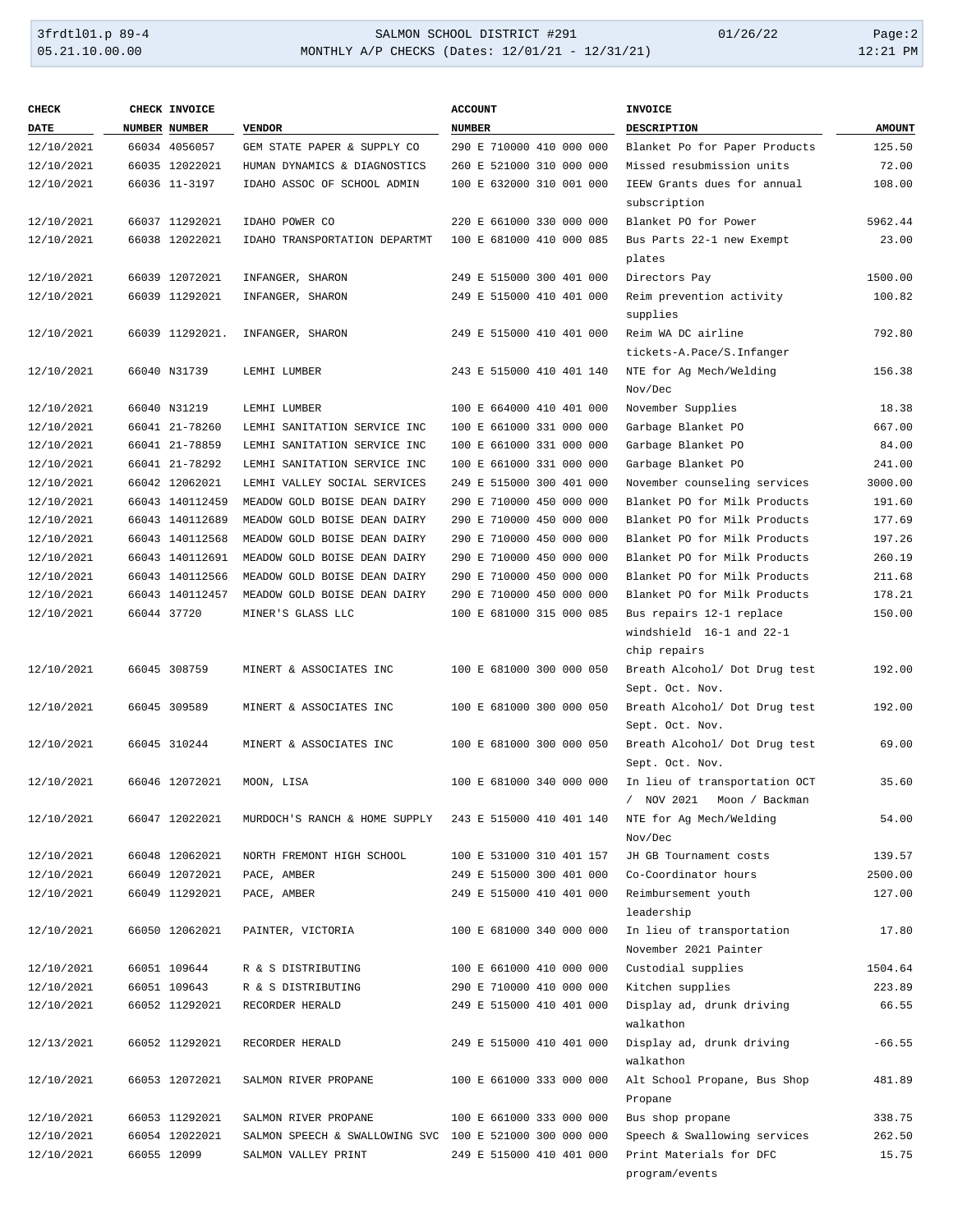| <b>CHECK</b> | CHECK INVOICE   |                                                         | <b>ACCOUNT</b>           | <b>INVOICE</b>                       |               |
|--------------|-----------------|---------------------------------------------------------|--------------------------|--------------------------------------|---------------|
| <b>DATE</b>  | NUMBER NUMBER   | <b>VENDOR</b>                                           | <b>NUMBER</b>            | <b>DESCRIPTION</b>                   | <b>AMOUNT</b> |
| 12/10/2021   | 66034 4056057   | GEM STATE PAPER & SUPPLY CO                             | 290 E 710000 410 000 000 | Blanket Po for Paper Products        | 125.50        |
| 12/10/2021   | 66035 12022021  | HUMAN DYNAMICS & DIAGNOSTICS                            | 260 E 521000 310 000 000 | Missed resubmission units            | 72.00         |
| 12/10/2021   | 66036 11-3197   | IDAHO ASSOC OF SCHOOL ADMIN                             | 100 E 632000 310 001 000 | IEEW Grants dues for annual          | 108.00        |
|              |                 |                                                         |                          | subscription                         |               |
| 12/10/2021   | 66037 11292021  | IDAHO POWER CO                                          | 220 E 661000 330 000 000 | Blanket PO for Power                 | 5962.44       |
| 12/10/2021   | 66038 12022021  | IDAHO TRANSPORTATION DEPARTMT                           | 100 E 681000 410 000 085 | Bus Parts 22-1 new Exempt            | 23.00         |
|              |                 |                                                         |                          |                                      |               |
|              |                 |                                                         |                          | plates                               | 1500.00       |
| 12/10/2021   | 66039 12072021  | INFANGER, SHARON                                        | 249 E 515000 300 401 000 | Directors Pay                        |               |
| 12/10/2021   | 66039 11292021  | INFANGER, SHARON                                        | 249 E 515000 410 401 000 | Reim prevention activity<br>supplies | 100.82        |
| 12/10/2021   | 66039 11292021. | INFANGER, SHARON                                        | 249 E 515000 410 401 000 | Reim WA DC airline                   | 792.80        |
|              |                 |                                                         |                          | tickets-A.Pace/S.Infanger            |               |
| 12/10/2021   | 66040 N31739    | LEMHI LUMBER                                            | 243 E 515000 410 401 140 | NTE for Ag Mech/Welding              | 156.38        |
|              |                 |                                                         |                          | Nov/Dec                              |               |
| 12/10/2021   | 66040 N31219    | LEMHI LUMBER                                            | 100 E 664000 410 401 000 | November Supplies                    | 18.38         |
| 12/10/2021   | 66041 21-78260  | LEMHI SANITATION SERVICE INC                            | 100 E 661000 331 000 000 | Garbage Blanket PO                   | 667.00        |
| 12/10/2021   | 66041 21-78859  | LEMHI SANITATION SERVICE INC                            | 100 E 661000 331 000 000 | Garbage Blanket PO                   | 84.00         |
|              |                 |                                                         |                          | Garbage Blanket PO                   |               |
| 12/10/2021   | 66041 21-78292  | LEMHI SANITATION SERVICE INC                            | 100 E 661000 331 000 000 |                                      | 241.00        |
| 12/10/2021   | 66042 12062021  | LEMHI VALLEY SOCIAL SERVICES                            | 249 E 515000 300 401 000 | November counseling services         | 3000.00       |
| 12/10/2021   | 66043 140112459 | MEADOW GOLD BOISE DEAN DAIRY                            | 290 E 710000 450 000 000 | Blanket PO for Milk Products         | 191.60        |
| 12/10/2021   | 66043 140112689 | MEADOW GOLD BOISE DEAN DAIRY                            | 290 E 710000 450 000 000 | Blanket PO for Milk Products         | 177.69        |
| 12/10/2021   | 66043 140112568 | MEADOW GOLD BOISE DEAN DAIRY                            | 290 E 710000 450 000 000 | Blanket PO for Milk Products         | 197.26        |
| 12/10/2021   | 66043 140112691 | MEADOW GOLD BOISE DEAN DAIRY                            | 290 E 710000 450 000 000 | Blanket PO for Milk Products         | 260.19        |
| 12/10/2021   | 66043 140112566 | MEADOW GOLD BOISE DEAN DAIRY                            | 290 E 710000 450 000 000 | Blanket PO for Milk Products         | 211.68        |
| 12/10/2021   | 66043 140112457 | MEADOW GOLD BOISE DEAN DAIRY                            | 290 E 710000 450 000 000 | Blanket PO for Milk Products         | 178.21        |
| 12/10/2021   | 66044 37720     | MINER'S GLASS LLC                                       | 100 E 681000 315 000 085 | Bus repairs 12-1 replace             | 150.00        |
|              |                 |                                                         |                          | windshield 16-1 and 22-1             |               |
|              |                 |                                                         |                          | chip repairs                         |               |
| 12/10/2021   | 66045 308759    | MINERT & ASSOCIATES INC                                 | 100 E 681000 300 000 050 | Breath Alcohol/ Dot Drug test        | 192.00        |
|              |                 |                                                         |                          | Sept. Oct. Nov.                      |               |
| 12/10/2021   | 66045 309589    | MINERT & ASSOCIATES INC                                 | 100 E 681000 300 000 050 | Breath Alcohol/ Dot Drug test        | 192.00        |
|              |                 |                                                         |                          | Sept. Oct. Nov.                      |               |
| 12/10/2021   | 66045 310244    | MINERT & ASSOCIATES INC                                 | 100 E 681000 300 000 050 | Breath Alcohol/ Dot Drug test        | 69.00         |
|              |                 |                                                         |                          | Sept. Oct. Nov.                      |               |
| 12/10/2021   | 66046 12072021  | MOON, LISA                                              | 100 E 681000 340 000 000 | In lieu of transportation OCT        | 35.60         |
|              |                 |                                                         |                          | NOV 2021 Moon / Backman              |               |
| 12/10/2021   | 66047 12022021  | MURDOCH'S RANCH & HOME SUPPLY                           | 243 E 515000 410 401 140 | NTE for Ag Mech/Welding              | 54.00         |
|              |                 |                                                         |                          | Nov/Dec                              |               |
| 12/10/2021   | 66048 12062021  | NORTH FREMONT HIGH SCHOOL                               | 100 E 531000 310 401 157 | JH GB Tournament costs               | 139.57        |
| 12/10/2021   | 66049 12072021  | PACE, AMBER                                             | 249 E 515000 300 401 000 | Co-Coordinator hours                 | 2500.00       |
|              |                 | PACE, AMBER                                             |                          |                                      |               |
| 12/10/2021   | 66049 11292021  |                                                         | 249 E 515000 410 401 000 | Reimbursement youth                  | 127.00        |
|              |                 |                                                         |                          | leadership                           |               |
| 12/10/2021   | 66050 12062021  | PAINTER, VICTORIA                                       | 100 E 681000 340 000 000 | In lieu of transportation            | 17.80         |
|              |                 |                                                         |                          | November 2021 Painter                |               |
| 12/10/2021   | 66051 109644    | R & S DISTRIBUTING                                      | 100 E 661000 410 000 000 | Custodial supplies                   | 1504.64       |
| 12/10/2021   | 66051 109643    | R & S DISTRIBUTING                                      | 290 E 710000 410 000 000 | Kitchen supplies                     | 223.89        |
| 12/10/2021   | 66052 11292021  | RECORDER HERALD                                         | 249 E 515000 410 401 000 | Display ad, drunk driving            | 66.55         |
|              |                 |                                                         |                          | walkathon                            |               |
| 12/13/2021   | 66052 11292021  | RECORDER HERALD                                         | 249 E 515000 410 401 000 | Display ad, drunk driving            | $-66.55$      |
|              |                 |                                                         |                          | walkathon                            |               |
| 12/10/2021   | 66053 12072021  | SALMON RIVER PROPANE                                    | 100 E 661000 333 000 000 | Alt School Propane, Bus Shop         | 481.89        |
|              |                 |                                                         |                          | Propane                              |               |
| 12/10/2021   | 66053 11292021  | SALMON RIVER PROPANE                                    | 100 E 661000 333 000 000 | Bus shop propane                     | 338.75        |
| 12/10/2021   | 66054 12022021  | SALMON SPEECH & SWALLOWING SVC 100 E 521000 300 000 000 |                          | Speech & Swallowing services         | 262.50        |
| 12/10/2021   | 66055 12099     | SALMON VALLEY PRINT                                     | 249 E 515000 410 401 000 | Print Materials for DFC              | 15.75         |
|              |                 |                                                         |                          | program/events                       |               |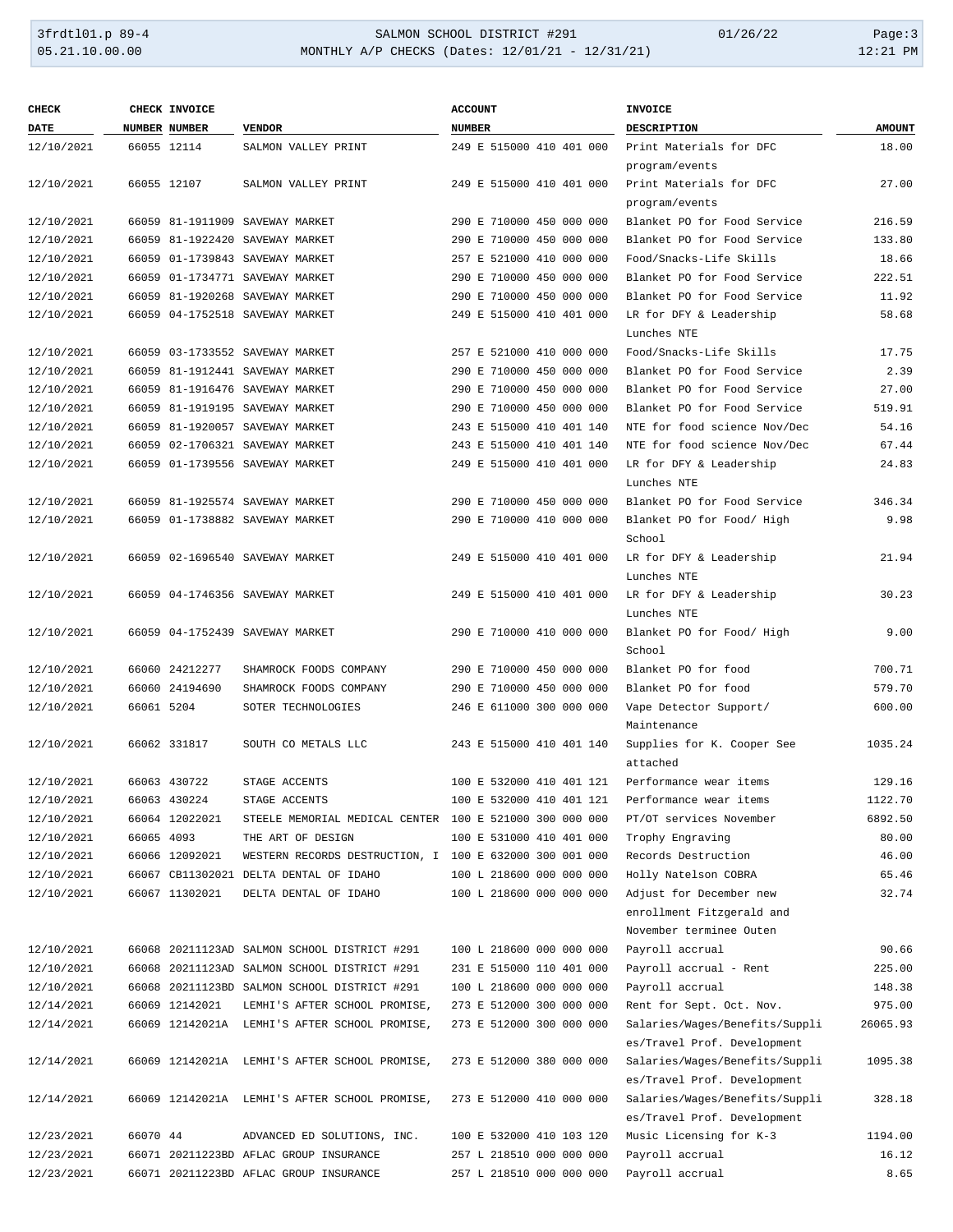| <b>CHECK</b> |            | CHECK INVOICE  |                                                         | <b>ACCOUNT</b>           | <b>INVOICE</b>                                                |               |
|--------------|------------|----------------|---------------------------------------------------------|--------------------------|---------------------------------------------------------------|---------------|
| DATE         |            | NUMBER NUMBER  | <b>VENDOR</b>                                           | <b>NUMBER</b>            | DESCRIPTION                                                   | <b>AMOUNT</b> |
| 12/10/2021   |            | 66055 12114    | SALMON VALLEY PRINT                                     | 249 E 515000 410 401 000 | Print Materials for DFC                                       | 18.00         |
|              |            |                |                                                         |                          | program/events                                                |               |
| 12/10/2021   |            | 66055 12107    | SALMON VALLEY PRINT                                     | 249 E 515000 410 401 000 | Print Materials for DFC                                       | 27.00         |
|              |            |                |                                                         |                          | program/events                                                |               |
| 12/10/2021   |            |                | 66059 81-1911909 SAVEWAY MARKET                         | 290 E 710000 450 000 000 | Blanket PO for Food Service                                   | 216.59        |
| 12/10/2021   |            |                | 66059 81-1922420 SAVEWAY MARKET                         | 290 E 710000 450 000 000 | Blanket PO for Food Service                                   | 133.80        |
| 12/10/2021   |            |                | 66059 01-1739843 SAVEWAY MARKET                         | 257 E 521000 410 000 000 | Food/Snacks-Life Skills                                       | 18.66         |
| 12/10/2021   |            |                | 66059 01-1734771 SAVEWAY MARKET                         | 290 E 710000 450 000 000 | Blanket PO for Food Service                                   | 222.51        |
| 12/10/2021   |            |                | 66059 81-1920268 SAVEWAY MARKET                         | 290 E 710000 450 000 000 | Blanket PO for Food Service                                   | 11.92         |
| 12/10/2021   |            |                | 66059 04-1752518 SAVEWAY MARKET                         | 249 E 515000 410 401 000 | LR for DFY & Leadership                                       | 58.68         |
|              |            |                |                                                         |                          | Lunches NTE                                                   |               |
| 12/10/2021   |            |                | 66059 03-1733552 SAVEWAY MARKET                         | 257 E 521000 410 000 000 | Food/Snacks-Life Skills                                       | 17.75         |
| 12/10/2021   |            |                | 66059 81-1912441 SAVEWAY MARKET                         | 290 E 710000 450 000 000 | Blanket PO for Food Service                                   | 2.39          |
| 12/10/2021   |            |                | 66059 81-1916476 SAVEWAY MARKET                         | 290 E 710000 450 000 000 | Blanket PO for Food Service                                   | 27.00         |
| 12/10/2021   |            |                | 66059 81-1919195 SAVEWAY MARKET                         | 290 E 710000 450 000 000 | Blanket PO for Food Service                                   | 519.91        |
| 12/10/2021   |            |                | 66059 81-1920057 SAVEWAY MARKET                         | 243 E 515000 410 401 140 | NTE for food science Nov/Dec                                  | 54.16         |
| 12/10/2021   |            |                | 66059 02-1706321 SAVEWAY MARKET                         | 243 E 515000 410 401 140 | NTE for food science Nov/Dec                                  | 67.44         |
| 12/10/2021   |            |                | 66059 01-1739556 SAVEWAY MARKET                         | 249 E 515000 410 401 000 | LR for DFY & Leadership                                       | 24.83         |
|              |            |                |                                                         |                          | Lunches NTE                                                   |               |
| 12/10/2021   |            |                | 66059 81-1925574 SAVEWAY MARKET                         | 290 E 710000 450 000 000 | Blanket PO for Food Service                                   | 346.34        |
| 12/10/2021   |            |                | 66059 01-1738882 SAVEWAY MARKET                         | 290 E 710000 410 000 000 | Blanket PO for Food/ High                                     | 9.98          |
|              |            |                |                                                         |                          | School                                                        |               |
| 12/10/2021   |            |                | 66059 02-1696540 SAVEWAY MARKET                         | 249 E 515000 410 401 000 | LR for DFY & Leadership                                       | 21.94         |
|              |            |                |                                                         |                          | Lunches NTE                                                   |               |
| 12/10/2021   |            |                | 66059 04-1746356 SAVEWAY MARKET                         | 249 E 515000 410 401 000 | LR for DFY & Leadership                                       | 30.23         |
|              |            |                |                                                         |                          | Lunches NTE                                                   |               |
| 12/10/2021   |            |                | 66059 04-1752439 SAVEWAY MARKET                         | 290 E 710000 410 000 000 | Blanket PO for Food/ High                                     | 9.00          |
|              |            |                |                                                         |                          | School                                                        |               |
| 12/10/2021   |            | 66060 24212277 | SHAMROCK FOODS COMPANY                                  | 290 E 710000 450 000 000 | Blanket PO for food                                           | 700.71        |
| 12/10/2021   |            | 66060 24194690 | SHAMROCK FOODS COMPANY                                  | 290 E 710000 450 000 000 | Blanket PO for food                                           | 579.70        |
| 12/10/2021   | 66061 5204 |                | SOTER TECHNOLOGIES                                      | 246 E 611000 300 000 000 | Vape Detector Support/                                        | 600.00        |
|              |            |                |                                                         |                          | Maintenance                                                   |               |
| 12/10/2021   |            | 66062 331817   | SOUTH CO METALS LLC                                     | 243 E 515000 410 401 140 | Supplies for K. Cooper See                                    | 1035.24       |
|              |            |                |                                                         |                          | attached                                                      |               |
| 12/10/2021   |            | 66063 430722   | STAGE ACCENTS                                           | 100 E 532000 410 401 121 | Performance wear items                                        | 129.16        |
| 12/10/2021   |            | 66063 430224   | STAGE ACCENTS                                           | 100 E 532000 410 401 121 | Performance wear items                                        | 1122.70       |
| 12/10/2021   |            | 66064 12022021 | STEELE MEMORIAL MEDICAL CENTER 100 E 521000 300 000 000 |                          | PT/OT services November                                       | 6892.50       |
| 12/10/2021   | 66065 4093 |                | THE ART OF DESIGN                                       | 100 E 531000 410 401 000 | Trophy Engraving                                              | 80.00         |
| 12/10/2021   |            | 66066 12092021 | WESTERN RECORDS DESTRUCTION, I 100 E 632000 300 001 000 |                          | Records Destruction                                           | 46.00         |
| 12/10/2021   |            |                | 66067 CB11302021 DELTA DENTAL OF IDAHO                  | 100 L 218600 000 000 000 | Holly Natelson COBRA                                          | 65.46         |
| 12/10/2021   |            | 66067 11302021 | DELTA DENTAL OF IDAHO                                   | 100 L 218600 000 000 000 | Adjust for December new                                       | 32.74         |
|              |            |                |                                                         |                          | enrollment Fitzgerald and                                     |               |
|              |            |                |                                                         |                          | November terminee Outen                                       |               |
| 12/10/2021   |            |                | 66068 20211123AD SALMON SCHOOL DISTRICT #291            | 100 L 218600 000 000 000 | Payroll accrual                                               | 90.66         |
| 12/10/2021   |            |                | 66068 20211123AD SALMON SCHOOL DISTRICT #291            | 231 E 515000 110 401 000 | Payroll accrual - Rent                                        | 225.00        |
| 12/10/2021   |            |                | 66068 20211123BD SALMON SCHOOL DISTRICT #291            | 100 L 218600 000 000 000 | Payroll accrual                                               | 148.38        |
| 12/14/2021   |            | 66069 12142021 | LEMHI'S AFTER SCHOOL PROMISE,                           | 273 E 512000 300 000 000 | Rent for Sept. Oct. Nov.                                      | 975.00        |
| 12/14/2021   |            |                |                                                         | 273 E 512000 300 000 000 |                                                               | 26065.93      |
|              |            |                | 66069 12142021A LEMHI'S AFTER SCHOOL PROMISE,           |                          | Salaries/Wages/Benefits/Suppli<br>es/Travel Prof. Development |               |
|              |            |                |                                                         |                          |                                                               |               |
| 12/14/2021   |            |                | 66069 12142021A LEMHI'S AFTER SCHOOL PROMISE,           | 273 E 512000 380 000 000 | Salaries/Wages/Benefits/Suppli                                | 1095.38       |
|              |            |                |                                                         |                          | es/Travel Prof. Development                                   |               |
| 12/14/2021   |            |                | 66069 12142021A LEMHI'S AFTER SCHOOL PROMISE,           | 273 E 512000 410 000 000 | Salaries/Wages/Benefits/Suppli                                | 328.18        |
|              |            |                |                                                         |                          | es/Travel Prof. Development                                   |               |
| 12/23/2021   | 66070 44   |                | ADVANCED ED SOLUTIONS, INC.                             | 100 E 532000 410 103 120 | Music Licensing for K-3                                       | 1194.00       |
| 12/23/2021   |            |                | 66071 20211223BD AFLAC GROUP INSURANCE                  | 257 L 218510 000 000 000 | Payroll accrual                                               | 16.12         |
| 12/23/2021   |            |                | 66071 20211223BD AFLAC GROUP INSURANCE                  | 257 L 218510 000 000 000 | Payroll accrual                                               | 8.65          |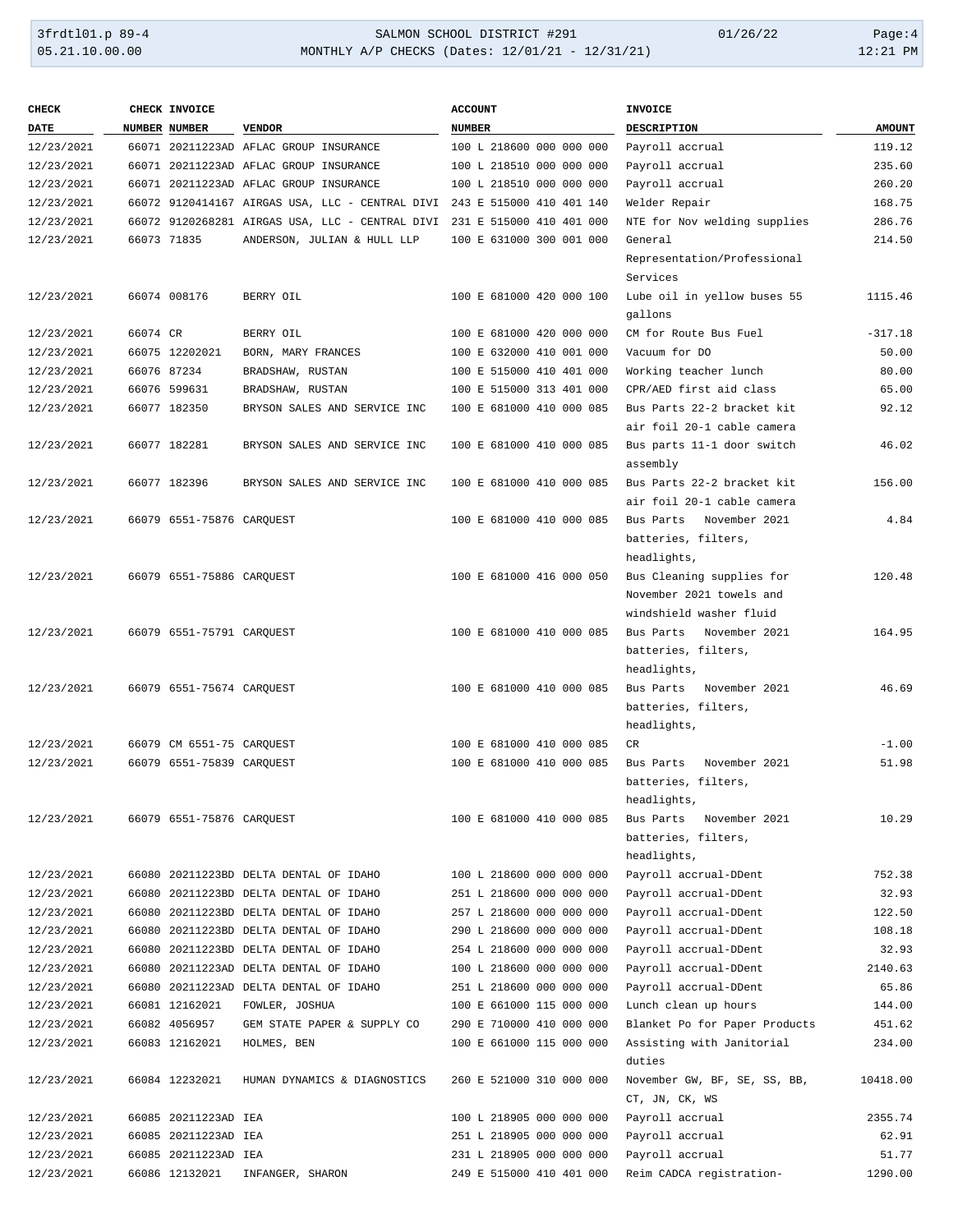| <b>CHECK</b> |          | CHECK INVOICE             |                                                 | <b>ACCOUNT</b>           | <b>INVOICE</b>                          |               |
|--------------|----------|---------------------------|-------------------------------------------------|--------------------------|-----------------------------------------|---------------|
| DATE         |          | NUMBER NUMBER             | <b>VENDOR</b>                                   | <b>NUMBER</b>            | DESCRIPTION                             | <b>AMOUNT</b> |
| 12/23/2021   |          |                           | 66071 20211223AD AFLAC GROUP INSURANCE          | 100 L 218600 000 000 000 | Payroll accrual                         | 119.12        |
| 12/23/2021   |          |                           | 66071 20211223AD AFLAC GROUP INSURANCE          | 100 L 218510 000 000 000 | Payroll accrual                         | 235.60        |
| 12/23/2021   |          |                           | 66071 20211223AD AFLAC GROUP INSURANCE          | 100 L 218510 000 000 000 | Payroll accrual                         | 260.20        |
| 12/23/2021   |          |                           | 66072 9120414167 AIRGAS USA, LLC - CENTRAL DIVI | 243 E 515000 410 401 140 | Welder Repair                           | 168.75        |
| 12/23/2021   |          |                           | 66072 9120268281 AIRGAS USA, LLC - CENTRAL DIVI | 231 E 515000 410 401 000 | NTE for Nov welding supplies            | 286.76        |
| 12/23/2021   |          | 66073 71835               | ANDERSON, JULIAN & HULL LLP                     | 100 E 631000 300 001 000 | General                                 | 214.50        |
|              |          |                           |                                                 |                          | Representation/Professional<br>Services |               |
| 12/23/2021   |          | 66074 008176              | BERRY OIL                                       | 100 E 681000 420 000 100 | Lube oil in yellow buses 55<br>gallons  | 1115.46       |
| 12/23/2021   | 66074 CR |                           | BERRY OIL                                       | 100 E 681000 420 000 000 | CM for Route Bus Fuel                   | $-317.18$     |
| 12/23/2021   |          | 66075 12202021            | BORN, MARY FRANCES                              | 100 E 632000 410 001 000 | Vacuum for DO                           | 50.00         |
| 12/23/2021   |          | 66076 87234               | BRADSHAW, RUSTAN                                | 100 E 515000 410 401 000 | Working teacher lunch                   | 80.00         |
| 12/23/2021   |          | 66076 599631              | BRADSHAW, RUSTAN                                | 100 E 515000 313 401 000 | CPR/AED first aid class                 | 65.00         |
| 12/23/2021   |          | 66077 182350              | BRYSON SALES AND SERVICE INC                    | 100 E 681000 410 000 085 | Bus Parts 22-2 bracket kit              | 92.12         |
|              |          |                           |                                                 |                          | air foil 20-1 cable camera              |               |
| 12/23/2021   |          | 66077 182281              | BRYSON SALES AND SERVICE INC                    | 100 E 681000 410 000 085 | Bus parts 11-1 door switch<br>assembly  | 46.02         |
| 12/23/2021   |          | 66077 182396              | BRYSON SALES AND SERVICE INC                    | 100 E 681000 410 000 085 | Bus Parts 22-2 bracket kit              | 156.00        |
|              |          |                           |                                                 |                          | air foil 20-1 cable camera              |               |
| 12/23/2021   |          | 66079 6551-75876 CARQUEST |                                                 | 100 E 681000 410 000 085 | November 2021<br>Bus Parts              | 4.84          |
|              |          |                           |                                                 |                          | batteries, filters,                     |               |
|              |          |                           |                                                 |                          | headlights,                             |               |
| 12/23/2021   |          | 66079 6551-75886 CARQUEST |                                                 | 100 E 681000 416 000 050 | Bus Cleaning supplies for               | 120.48        |
|              |          |                           |                                                 |                          | November 2021 towels and                |               |
|              |          |                           |                                                 |                          | windshield washer fluid                 |               |
| 12/23/2021   |          | 66079 6551-75791 CARQUEST |                                                 | 100 E 681000 410 000 085 | Bus Parts<br>November 2021              | 164.95        |
|              |          |                           |                                                 |                          | batteries, filters,                     |               |
|              |          |                           |                                                 |                          | headlights,                             |               |
| 12/23/2021   |          | 66079 6551-75674 CARQUEST |                                                 | 100 E 681000 410 000 085 | Bus Parts<br>November 2021              | 46.69         |
|              |          |                           |                                                 |                          | batteries, filters,                     |               |
|              |          |                           |                                                 |                          | headlights,                             |               |
| 12/23/2021   |          | 66079 CM 6551-75 CARQUEST |                                                 | 100 E 681000 410 000 085 | CR                                      | $-1.00$       |
| 12/23/2021   |          | 66079 6551-75839 CARQUEST |                                                 | 100 E 681000 410 000 085 | Bus Parts<br>November 2021              | 51.98         |
|              |          |                           |                                                 |                          | batteries, filters,                     |               |
|              |          |                           |                                                 |                          | headlights,                             |               |
| 12/23/2021   |          | 66079 6551-75876 CAROUEST |                                                 | 100 E 681000 410 000 085 | Bus Parts November 2021                 | 10.29         |
|              |          |                           |                                                 |                          | batteries, filters,                     |               |
|              |          |                           |                                                 |                          | headlights,                             |               |
| 12/23/2021   |          |                           | 66080 20211223BD DELTA DENTAL OF IDAHO          | 100 L 218600 000 000 000 | Payroll accrual-DDent                   | 752.38        |
| 12/23/2021   |          |                           | 66080 20211223BD DELTA DENTAL OF IDAHO          | 251 L 218600 000 000 000 | Payroll accrual-DDent                   | 32.93         |
| 12/23/2021   |          |                           | 66080 20211223BD DELTA DENTAL OF IDAHO          | 257 L 218600 000 000 000 | Payroll accrual-DDent                   | 122.50        |
| 12/23/2021   |          |                           | 66080 20211223BD DELTA DENTAL OF IDAHO          | 290 L 218600 000 000 000 | Payroll accrual-DDent                   | 108.18        |
| 12/23/2021   |          |                           | 66080 20211223BD DELTA DENTAL OF IDAHO          | 254 L 218600 000 000 000 | Payroll accrual-DDent                   | 32.93         |
| 12/23/2021   |          |                           | 66080 20211223AD DELTA DENTAL OF IDAHO          | 100 L 218600 000 000 000 | Payroll accrual-DDent                   | 2140.63       |
| 12/23/2021   |          |                           | 66080 20211223AD DELTA DENTAL OF IDAHO          | 251 L 218600 000 000 000 | Payroll accrual-DDent                   | 65.86         |
| 12/23/2021   |          | 66081 12162021            | FOWLER, JOSHUA                                  | 100 E 661000 115 000 000 | Lunch clean up hours                    | 144.00        |
| 12/23/2021   |          | 66082 4056957             | GEM STATE PAPER & SUPPLY CO                     | 290 E 710000 410 000 000 | Blanket Po for Paper Products           | 451.62        |
| 12/23/2021   |          | 66083 12162021            | HOLMES, BEN                                     | 100 E 661000 115 000 000 | Assisting with Janitorial               | 234.00        |
|              |          |                           |                                                 |                          | duties                                  |               |
| 12/23/2021   |          | 66084 12232021            | HUMAN DYNAMICS & DIAGNOSTICS                    | 260 E 521000 310 000 000 | November GW, BF, SE, SS, BB,            | 10418.00      |
|              |          |                           |                                                 |                          | CT, JN, CK, WS                          |               |
| 12/23/2021   |          | 66085 20211223AD IEA      |                                                 | 100 L 218905 000 000 000 | Payroll accrual                         | 2355.74       |
| 12/23/2021   |          | 66085 20211223AD IEA      |                                                 | 251 L 218905 000 000 000 | Payroll accrual                         | 62.91         |
| 12/23/2021   |          | 66085 20211223AD IEA      |                                                 | 231 L 218905 000 000 000 | Payroll accrual                         | 51.77         |
| 12/23/2021   |          | 66086 12132021            | INFANGER, SHARON                                | 249 E 515000 410 401 000 | Reim CADCA registration-                | 1290.00       |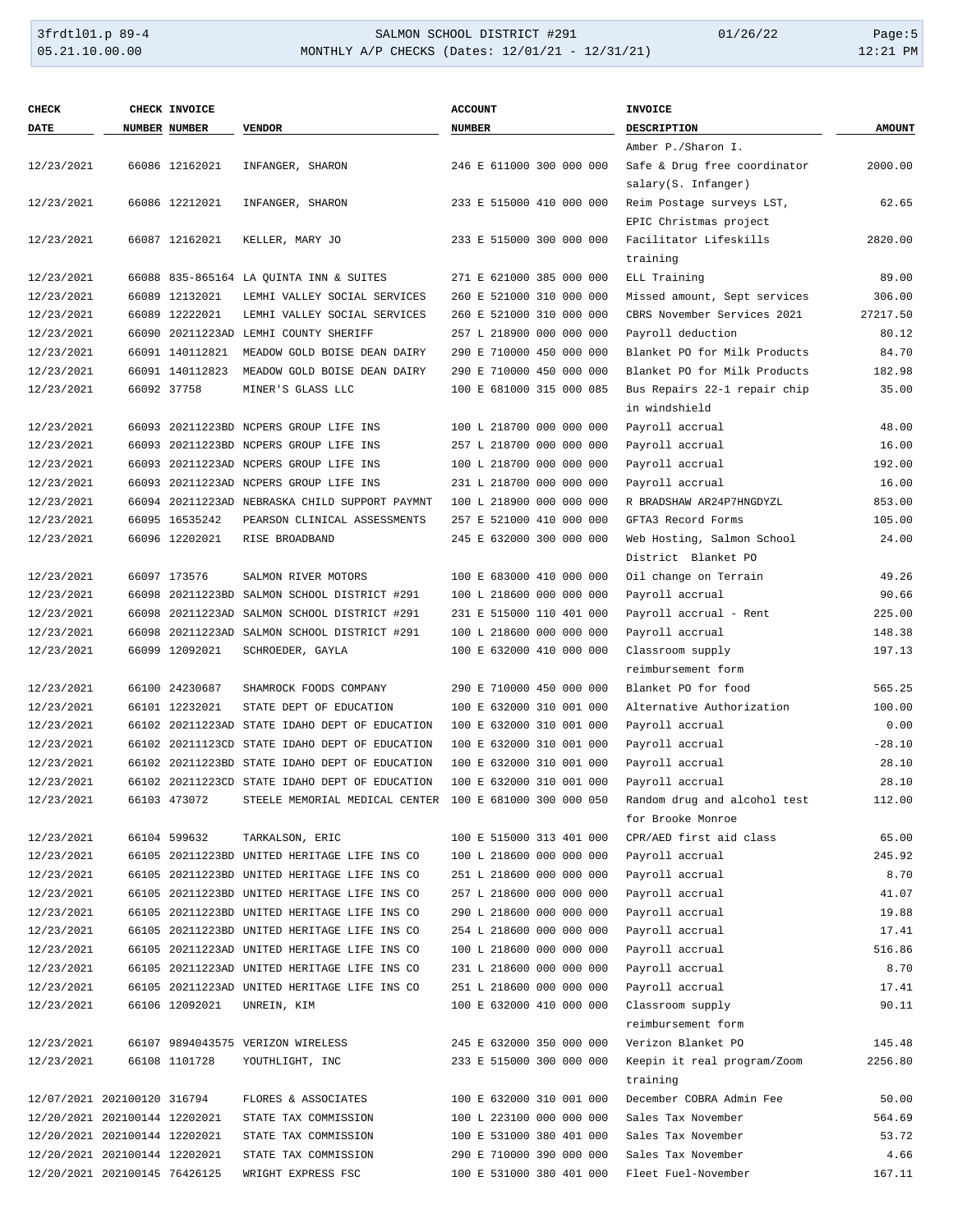| <b>CHECK</b>                  | CHECK INVOICE   |                                                         | <b>ACCOUNT</b>           | <b>INVOICE</b>               |               |
|-------------------------------|-----------------|---------------------------------------------------------|--------------------------|------------------------------|---------------|
| <b>DATE</b>                   | NUMBER NUMBER   | <b>VENDOR</b>                                           | <b>NUMBER</b>            | <b>DESCRIPTION</b>           | <b>AMOUNT</b> |
|                               |                 |                                                         |                          | Amber P./Sharon I.           |               |
| 12/23/2021                    | 66086 12162021  | INFANGER, SHARON                                        | 246 E 611000 300 000 000 | Safe & Drug free coordinator | 2000.00       |
|                               |                 |                                                         |                          | salary(S. Infanger)          |               |
| 12/23/2021                    | 66086 12212021  | INFANGER, SHARON                                        | 233 E 515000 410 000 000 | Reim Postage surveys LST,    | 62.65         |
|                               |                 |                                                         |                          | EPIC Christmas project       |               |
| 12/23/2021                    | 66087 12162021  | KELLER, MARY JO                                         | 233 E 515000 300 000 000 | Facilitator Lifeskills       | 2820.00       |
|                               |                 |                                                         |                          | training                     |               |
| 12/23/2021                    |                 | 66088 835-865164 LA OUINTA INN & SUITES                 | 271 E 621000 385 000 000 | ELL Training                 | 89.00         |
| 12/23/2021                    | 66089 12132021  | LEMHI VALLEY SOCIAL SERVICES                            | 260 E 521000 310 000 000 | Missed amount, Sept services | 306.00        |
| 12/23/2021                    | 66089 12222021  | LEMHI VALLEY SOCIAL SERVICES                            | 260 E 521000 310 000 000 | CBRS November Services 2021  | 27217.50      |
| 12/23/2021                    |                 | 66090 20211223AD LEMHI COUNTY SHERIFF                   | 257 L 218900 000 000 000 | Payroll deduction            | 80.12         |
| 12/23/2021                    | 66091 140112821 | MEADOW GOLD BOISE DEAN DAIRY                            | 290 E 710000 450 000 000 | Blanket PO for Milk Products | 84.70         |
| 12/23/2021                    | 66091 140112823 | MEADOW GOLD BOISE DEAN DAIRY                            | 290 E 710000 450 000 000 | Blanket PO for Milk Products | 182.98        |
| 12/23/2021                    | 66092 37758     | MINER'S GLASS LLC                                       | 100 E 681000 315 000 085 | Bus Repairs 22-1 repair chip | 35.00         |
|                               |                 |                                                         |                          | in windshield                |               |
| 12/23/2021                    |                 | 66093 20211223BD NCPERS GROUP LIFE INS                  | 100 L 218700 000 000 000 | Payroll accrual              | 48.00         |
| 12/23/2021                    |                 | 66093 20211223BD NCPERS GROUP LIFE INS                  | 257 L 218700 000 000 000 | Payroll accrual              | 16.00         |
| 12/23/2021                    |                 | 66093 20211223AD NCPERS GROUP LIFE INS                  | 100 L 218700 000 000 000 | Payroll accrual              | 192.00        |
| 12/23/2021                    |                 | 66093 20211223AD NCPERS GROUP LIFE INS                  | 231 L 218700 000 000 000 | Payroll accrual              | 16.00         |
| 12/23/2021                    |                 | 66094 20211223AD NEBRASKA CHILD SUPPORT PAYMNT          | 100 L 218900 000 000 000 | R BRADSHAW AR24P7HNGDYZL     | 853.00        |
| 12/23/2021                    | 66095 16535242  | PEARSON CLINICAL ASSESSMENTS                            | 257 E 521000 410 000 000 | GFTA3 Record Forms           | 105.00        |
| 12/23/2021                    | 66096 12202021  | RISE BROADBAND                                          | 245 E 632000 300 000 000 | Web Hosting, Salmon School   | 24.00         |
|                               |                 |                                                         |                          | District Blanket PO          |               |
| 12/23/2021                    | 66097 173576    | SALMON RIVER MOTORS                                     | 100 E 683000 410 000 000 | Oil change on Terrain        | 49.26         |
| 12/23/2021                    |                 | 66098 20211223BD SALMON SCHOOL DISTRICT #291            | 100 L 218600 000 000 000 | Payroll accrual              | 90.66         |
| 12/23/2021                    |                 | 66098 20211223AD SALMON SCHOOL DISTRICT #291            | 231 E 515000 110 401 000 | Payroll accrual - Rent       | 225.00        |
| 12/23/2021                    |                 | 66098 20211223AD SALMON SCHOOL DISTRICT #291            | 100 L 218600 000 000 000 | Payroll accrual              | 148.38        |
| 12/23/2021                    | 66099 12092021  | SCHROEDER, GAYLA                                        | 100 E 632000 410 000 000 | Classroom supply             | 197.13        |
|                               |                 |                                                         |                          | reimbursement form           |               |
| 12/23/2021                    | 66100 24230687  | SHAMROCK FOODS COMPANY                                  | 290 E 710000 450 000 000 | Blanket PO for food          | 565.25        |
| 12/23/2021                    | 66101 12232021  | STATE DEPT OF EDUCATION                                 | 100 E 632000 310 001 000 | Alternative Authorization    | 100.00        |
| 12/23/2021                    |                 | 66102 20211223AD STATE IDAHO DEPT OF EDUCATION          | 100 E 632000 310 001 000 | Payroll accrual              | 0.00          |
| 12/23/2021                    |                 | 66102 20211123CD STATE IDAHO DEPT OF EDUCATION          | 100 E 632000 310 001 000 | Payroll accrual              | $-28.10$      |
| 12/23/2021                    |                 | 66102 20211223BD STATE IDAHO DEPT OF EDUCATION          | 100 E 632000 310 001 000 | Payroll accrual              | 28.10         |
| 12/23/2021                    |                 | 66102 20211223CD STATE IDAHO DEPT OF EDUCATION          | 100 E 632000 310 001 000 | Payroll accrual              | 28.10         |
| 12/23/2021                    | 66103 473072    | STEELE MEMORIAL MEDICAL CENTER 100 E 681000 300 000 050 |                          | Random drug and alcohol test | 112.00        |
|                               |                 |                                                         |                          | for Brooke Monroe            |               |
| 12/23/2021                    | 66104 599632    | TARKALSON, ERIC                                         | 100 E 515000 313 401 000 | CPR/AED first aid class      | 65.00         |
| 12/23/2021                    |                 | 66105 20211223BD UNITED HERITAGE LIFE INS CO            | 100 L 218600 000 000 000 | Payroll accrual              | 245.92        |
| 12/23/2021                    |                 | 66105 20211223BD UNITED HERITAGE LIFE INS CO            | 251 L 218600 000 000 000 | Payroll accrual              | 8.70          |
| 12/23/2021                    |                 | 66105 20211223BD UNITED HERITAGE LIFE INS CO            | 257 L 218600 000 000 000 | Payroll accrual              | 41.07         |
| 12/23/2021                    |                 | 66105 20211223BD UNITED HERITAGE LIFE INS CO            | 290 L 218600 000 000 000 | Payroll accrual              | 19.88         |
| 12/23/2021                    |                 | 66105 20211223BD UNITED HERITAGE LIFE INS CO            | 254 L 218600 000 000 000 | Payroll accrual              | 17.41         |
| 12/23/2021                    |                 | 66105 20211223AD UNITED HERITAGE LIFE INS CO            | 100 L 218600 000 000 000 | Payroll accrual              | 516.86        |
| 12/23/2021                    |                 | 66105 20211223AD UNITED HERITAGE LIFE INS CO            | 231 L 218600 000 000 000 | Payroll accrual              | 8.70          |
| 12/23/2021                    |                 | 66105 20211223AD UNITED HERITAGE LIFE INS CO            | 251 L 218600 000 000 000 | Payroll accrual              | 17.41         |
| 12/23/2021                    | 66106 12092021  | UNREIN, KIM                                             | 100 E 632000 410 000 000 | Classroom supply             | 90.11         |
|                               |                 |                                                         |                          | reimbursement form           |               |
| 12/23/2021                    |                 | 66107 9894043575 VERIZON WIRELESS                       | 245 E 632000 350 000 000 | Verizon Blanket PO           | 145.48        |
| 12/23/2021                    | 66108 1101728   | YOUTHLIGHT, INC                                         | 233 E 515000 300 000 000 | Keepin it real program/Zoom  | 2256.80       |
|                               |                 |                                                         |                          | training                     |               |
| 12/07/2021 202100120 316794   |                 | FLORES & ASSOCIATES                                     | 100 E 632000 310 001 000 | December COBRA Admin Fee     | 50.00         |
| 12/20/2021 202100144 12202021 |                 | STATE TAX COMMISSION                                    | 100 L 223100 000 000 000 | Sales Tax November           | 564.69        |
| 12/20/2021 202100144 12202021 |                 | STATE TAX COMMISSION                                    | 100 E 531000 380 401 000 | Sales Tax November           | 53.72         |
| 12/20/2021 202100144 12202021 |                 | STATE TAX COMMISSION                                    | 290 E 710000 390 000 000 | Sales Tax November           | 4.66          |
| 12/20/2021 202100145 76426125 |                 | WRIGHT EXPRESS FSC                                      | 100 E 531000 380 401 000 | Fleet Fuel-November          | 167.11        |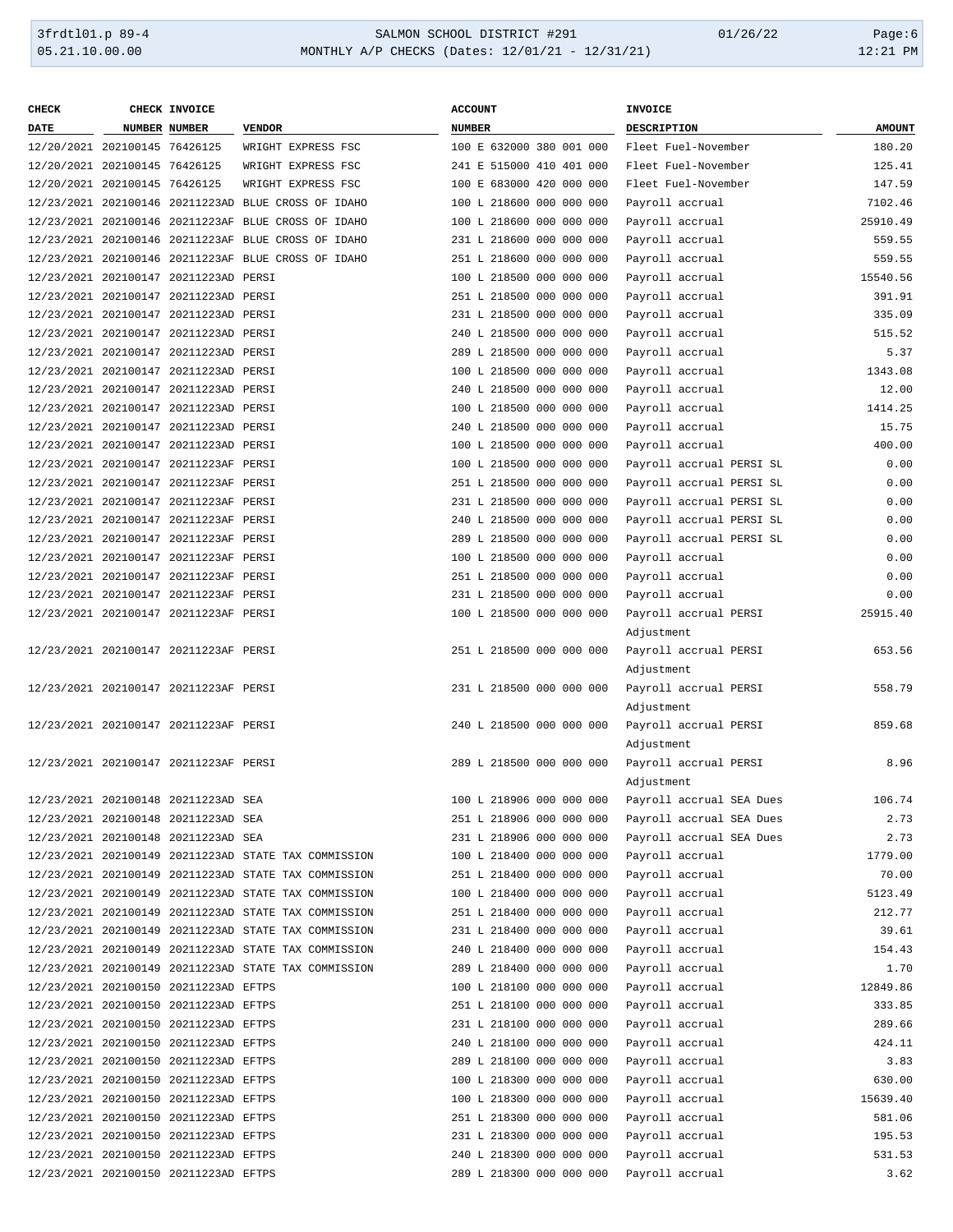| <b>CHECK</b>                  | CHECK INVOICE                         |                                                      | <b>ACCOUNT</b>           | <b>INVOICE</b>           |               |
|-------------------------------|---------------------------------------|------------------------------------------------------|--------------------------|--------------------------|---------------|
| DATE                          | NUMBER NUMBER                         | <b>VENDOR</b>                                        | <b>NUMBER</b>            | <b>DESCRIPTION</b>       | <b>AMOUNT</b> |
| 12/20/2021 202100145 76426125 |                                       | WRIGHT EXPRESS FSC                                   | 100 E 632000 380 001 000 | Fleet Fuel-November      | 180.20        |
| 12/20/2021 202100145 76426125 |                                       | WRIGHT EXPRESS FSC                                   | 241 E 515000 410 401 000 | Fleet Fuel-November      | 125.41        |
| 12/20/2021 202100145 76426125 |                                       | WRIGHT EXPRESS FSC                                   | 100 E 683000 420 000 000 | Fleet Fuel-November      | 147.59        |
|                               |                                       | 12/23/2021 202100146 20211223AD BLUE CROSS OF IDAHO  | 100 L 218600 000 000 000 | Payroll accrual          | 7102.46       |
|                               |                                       | 12/23/2021 202100146 20211223AF BLUE CROSS OF IDAHO  | 100 L 218600 000 000 000 | Payroll accrual          | 25910.49      |
|                               |                                       | 12/23/2021 202100146 20211223AF BLUE CROSS OF IDAHO  | 231 L 218600 000 000 000 | Payroll accrual          | 559.55        |
|                               |                                       | 12/23/2021 202100146 20211223AF BLUE CROSS OF IDAHO  | 251 L 218600 000 000 000 | Payroll accrual          | 559.55        |
|                               | 12/23/2021 202100147 20211223AD PERSI |                                                      | 100 L 218500 000 000 000 | Payroll accrual          | 15540.56      |
|                               | 12/23/2021 202100147 20211223AD PERSI |                                                      | 251 L 218500 000 000 000 | Payroll accrual          | 391.91        |
|                               | 12/23/2021 202100147 20211223AD PERSI |                                                      | 231 L 218500 000 000 000 | Payroll accrual          | 335.09        |
|                               | 12/23/2021 202100147 20211223AD PERSI |                                                      | 240 L 218500 000 000 000 | Payroll accrual          | 515.52        |
|                               | 12/23/2021 202100147 20211223AD PERSI |                                                      | 289 L 218500 000 000 000 | Payroll accrual          | 5.37          |
|                               | 12/23/2021 202100147 20211223AD PERSI |                                                      | 100 L 218500 000 000 000 | Payroll accrual          | 1343.08       |
|                               | 12/23/2021 202100147 20211223AD PERSI |                                                      | 240 L 218500 000 000 000 | Payroll accrual          | 12.00         |
|                               | 12/23/2021 202100147 20211223AD PERSI |                                                      | 100 L 218500 000 000 000 | Payroll accrual          | 1414.25       |
|                               | 12/23/2021 202100147 20211223AD PERSI |                                                      | 240 L 218500 000 000 000 | Payroll accrual          | 15.75         |
|                               | 12/23/2021 202100147 20211223AD PERSI |                                                      | 100 L 218500 000 000 000 | Payroll accrual          | 400.00        |
|                               | 12/23/2021 202100147 20211223AF PERSI |                                                      | 100 L 218500 000 000 000 | Payroll accrual PERSI SL | 0.00          |
|                               | 12/23/2021 202100147 20211223AF PERSI |                                                      | 251 L 218500 000 000 000 | Payroll accrual PERSI SL | 0.00          |
|                               | 12/23/2021 202100147 20211223AF PERSI |                                                      | 231 L 218500 000 000 000 | Payroll accrual PERSI SL | 0.00          |
|                               | 12/23/2021 202100147 20211223AF PERSI |                                                      | 240 L 218500 000 000 000 | Payroll accrual PERSI SL | 0.00          |
|                               | 12/23/2021 202100147 20211223AF PERSI |                                                      | 289 L 218500 000 000 000 | Payroll accrual PERSI SL | 0.00          |
|                               | 12/23/2021 202100147 20211223AF PERSI |                                                      | 100 L 218500 000 000 000 | Payroll accrual          | 0.00          |
|                               | 12/23/2021 202100147 20211223AF PERSI |                                                      | 251 L 218500 000 000 000 | Payroll accrual          | 0.00          |
|                               | 12/23/2021 202100147 20211223AF PERSI |                                                      | 231 L 218500 000 000 000 | Payroll accrual          | 0.00          |
|                               | 12/23/2021 202100147 20211223AF PERSI |                                                      | 100 L 218500 000 000 000 | Payroll accrual PERSI    | 25915.40      |
|                               |                                       |                                                      |                          | Adjustment               |               |
|                               | 12/23/2021 202100147 20211223AF PERSI |                                                      | 251 L 218500 000 000 000 | Payroll accrual PERSI    | 653.56        |
|                               |                                       |                                                      |                          | Adjustment               |               |
|                               | 12/23/2021 202100147 20211223AF PERSI |                                                      | 231 L 218500 000 000 000 | Payroll accrual PERSI    | 558.79        |
|                               |                                       |                                                      |                          | Adjustment               |               |
|                               | 12/23/2021 202100147 20211223AF PERSI |                                                      | 240 L 218500 000 000 000 | Payroll accrual PERSI    | 859.68        |
|                               |                                       |                                                      |                          | Adjustment               |               |
|                               | 12/23/2021 202100147 20211223AF PERSI |                                                      | 289 L 218500 000 000 000 | Payroll accrual PERSI    | 8.96          |
|                               |                                       |                                                      |                          | Adjustment               |               |
|                               | 12/23/2021 202100148 20211223AD SEA   |                                                      | 100 L 218906 000 000 000 | Payroll accrual SEA Dues | 106.74        |
|                               | 12/23/2021 202100148 20211223AD SEA   |                                                      | 251 L 218906 000 000 000 | Payroll accrual SEA Dues | 2.73          |
|                               | 12/23/2021 202100148 20211223AD SEA   |                                                      | 231 L 218906 000 000 000 | Payroll accrual SEA Dues | 2.73          |
|                               |                                       | 12/23/2021 202100149 20211223AD STATE TAX COMMISSION | 100 L 218400 000 000 000 | Payroll accrual          | 1779.00       |
|                               |                                       | 12/23/2021 202100149 20211223AD STATE TAX COMMISSION | 251 L 218400 000 000 000 | Payroll accrual          | 70.00         |
|                               |                                       | 12/23/2021 202100149 20211223AD STATE TAX COMMISSION | 100 L 218400 000 000 000 | Payroll accrual          | 5123.49       |
|                               |                                       | 12/23/2021 202100149 20211223AD STATE TAX COMMISSION | 251 L 218400 000 000 000 | Payroll accrual          | 212.77        |
|                               |                                       | 12/23/2021 202100149 20211223AD STATE TAX COMMISSION | 231 L 218400 000 000 000 | Payroll accrual          | 39.61         |
|                               |                                       | 12/23/2021 202100149 20211223AD STATE TAX COMMISSION | 240 L 218400 000 000 000 | Payroll accrual          | 154.43        |
|                               |                                       | 12/23/2021 202100149 20211223AD STATE TAX COMMISSION | 289 L 218400 000 000 000 | Payroll accrual          | 1.70          |
|                               | 12/23/2021 202100150 20211223AD EFTPS |                                                      | 100 L 218100 000 000 000 | Payroll accrual          | 12849.86      |
|                               | 12/23/2021 202100150 20211223AD EFTPS |                                                      | 251 L 218100 000 000 000 | Payroll accrual          | 333.85        |
|                               | 12/23/2021 202100150 20211223AD EFTPS |                                                      | 231 L 218100 000 000 000 | Payroll accrual          | 289.66        |
|                               | 12/23/2021 202100150 20211223AD EFTPS |                                                      | 240 L 218100 000 000 000 | Payroll accrual          | 424.11        |
|                               | 12/23/2021 202100150 20211223AD EFTPS |                                                      | 289 L 218100 000 000 000 | Payroll accrual          | 3.83          |
|                               | 12/23/2021 202100150 20211223AD EFTPS |                                                      | 100 L 218300 000 000 000 | Payroll accrual          | 630.00        |
|                               | 12/23/2021 202100150 20211223AD EFTPS |                                                      | 100 L 218300 000 000 000 | Payroll accrual          | 15639.40      |
|                               | 12/23/2021 202100150 20211223AD EFTPS |                                                      | 251 L 218300 000 000 000 | Payroll accrual          | 581.06        |
|                               | 12/23/2021 202100150 20211223AD EFTPS |                                                      | 231 L 218300 000 000 000 | Payroll accrual          | 195.53        |
|                               | 12/23/2021 202100150 20211223AD EFTPS |                                                      | 240 L 218300 000 000 000 | Payroll accrual          | 531.53        |
|                               | 12/23/2021 202100150 20211223AD EFTPS |                                                      | 289 L 218300 000 000 000 | Payroll accrual          | 3.62          |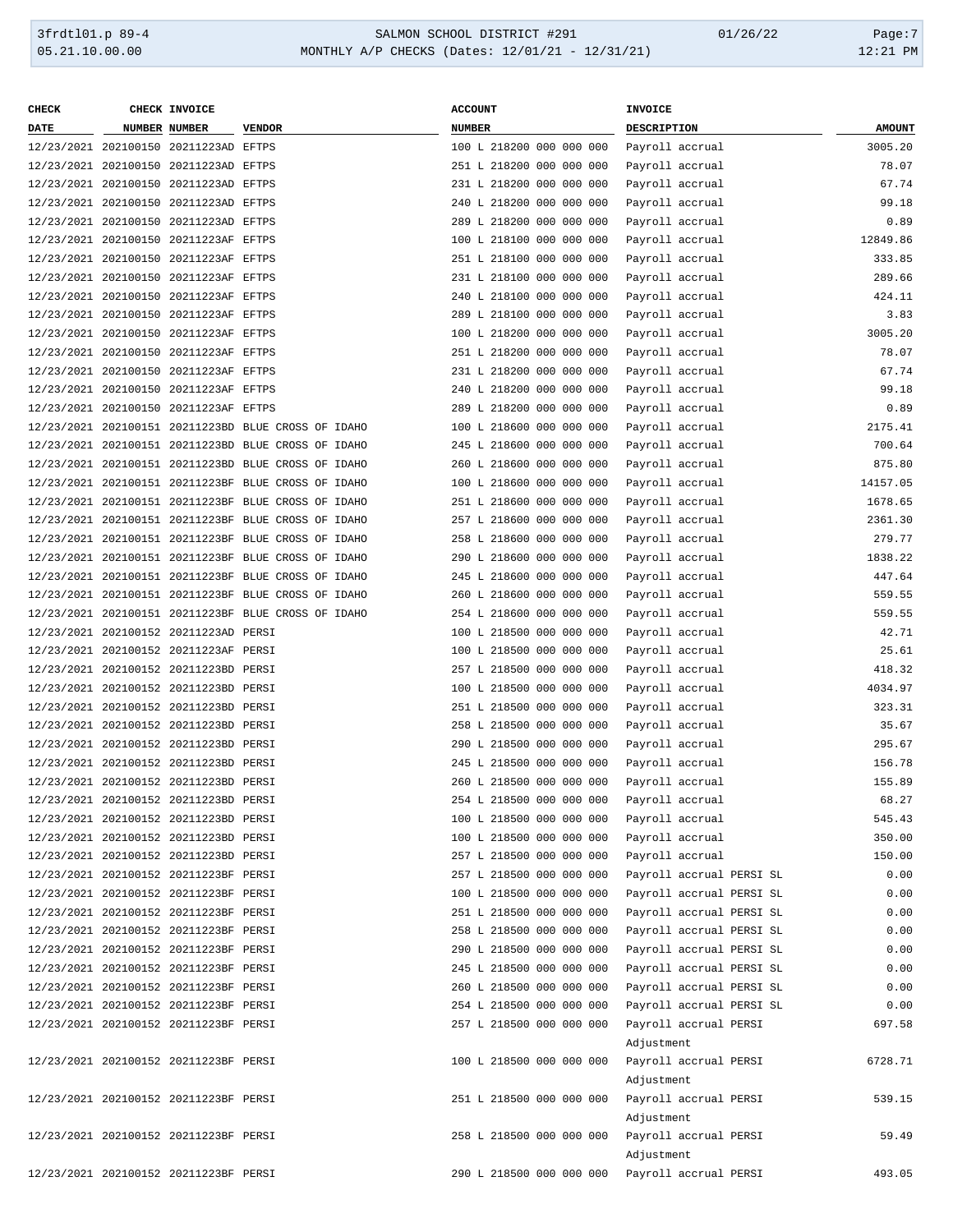### 3frdtl01.p 89-4 SALMON SCHOOL DISTRICT #291 01/26/22 Page:7 MONTHLY A/P CHECKS (Dates: 12/01/21 - 12/31/21)

| CHECK                                 |                      | CHECK INVOICE                         |                                                     | <b>ACCOUNT</b>                                 | <b>INVOICE</b>           |               |
|---------------------------------------|----------------------|---------------------------------------|-----------------------------------------------------|------------------------------------------------|--------------------------|---------------|
| DATE                                  | <b>NUMBER NUMBER</b> |                                       | <b>VENDOR</b>                                       | <b>NUMBER</b>                                  | <b>DESCRIPTION</b>       | <b>AMOUNT</b> |
|                                       |                      | 12/23/2021 202100150 20211223AD EFTPS |                                                     | 100 L 218200 000 000 000                       | Payroll accrual          | 3005.20       |
|                                       |                      | 12/23/2021 202100150 20211223AD EFTPS |                                                     | 251 L 218200 000 000 000                       | Payroll accrual          | 78.07         |
|                                       |                      | 12/23/2021 202100150 20211223AD EFTPS |                                                     | 231 L 218200 000 000 000                       | Payroll accrual          | 67.74         |
|                                       |                      | 12/23/2021 202100150 20211223AD EFTPS |                                                     | 240 L 218200 000 000 000                       | Payroll accrual          | 99.18         |
|                                       |                      | 12/23/2021 202100150 20211223AD EFTPS |                                                     | 289 L 218200 000 000 000                       | Payroll accrual          | 0.89          |
|                                       |                      | 12/23/2021 202100150 20211223AF EFTPS |                                                     | 100 L 218100 000 000 000                       | Payroll accrual          | 12849.86      |
|                                       |                      | 12/23/2021 202100150 20211223AF EFTPS |                                                     | 251 L 218100 000 000 000                       | Payroll accrual          | 333.85        |
|                                       |                      | 12/23/2021 202100150 20211223AF EFTPS |                                                     | 231 L 218100 000 000 000                       | Payroll accrual          | 289.66        |
|                                       |                      | 12/23/2021 202100150 20211223AF EFTPS |                                                     | 240 L 218100 000 000 000                       | Payroll accrual          | 424.11        |
|                                       |                      | 12/23/2021 202100150 20211223AF EFTPS |                                                     | 289 L 218100 000 000 000                       | Payroll accrual          | 3.83          |
|                                       |                      | 12/23/2021 202100150 20211223AF EFTPS |                                                     | 100 L 218200 000 000 000                       | Payroll accrual          | 3005.20       |
|                                       |                      | 12/23/2021 202100150 20211223AF EFTPS |                                                     | 251 L 218200 000 000 000                       | Payroll accrual          | 78.07         |
|                                       |                      | 12/23/2021 202100150 20211223AF EFTPS |                                                     | 231 L 218200 000 000 000                       | Payroll accrual          | 67.74         |
|                                       |                      | 12/23/2021 202100150 20211223AF EFTPS |                                                     | 240 L 218200 000 000 000                       | Payroll accrual          | 99.18         |
|                                       |                      | 12/23/2021 202100150 20211223AF EFTPS |                                                     | 289 L 218200 000 000 000                       | Payroll accrual          | 0.89          |
|                                       |                      |                                       |                                                     |                                                |                          |               |
|                                       |                      |                                       | 12/23/2021 202100151 20211223BD BLUE CROSS OF IDAHO | 100 L 218600 000 000 000                       | Payroll accrual          | 2175.41       |
|                                       |                      |                                       | 12/23/2021 202100151 20211223BD BLUE CROSS OF IDAHO | 245 L 218600 000 000 000                       | Payroll accrual          | 700.64        |
|                                       |                      |                                       | 12/23/2021 202100151 20211223BD BLUE CROSS OF IDAHO | 260 L 218600 000 000 000                       | Payroll accrual          | 875.80        |
|                                       |                      |                                       | 12/23/2021 202100151 20211223BF BLUE CROSS OF IDAHO | 100 L 218600 000 000 000                       | Payroll accrual          | 14157.05      |
|                                       |                      |                                       | 12/23/2021 202100151 20211223BF BLUE CROSS OF IDAHO | 251 L 218600 000 000 000                       | Payroll accrual          | 1678.65       |
|                                       |                      |                                       | 12/23/2021 202100151 20211223BF BLUE CROSS OF IDAHO | 257 L 218600 000 000 000                       | Payroll accrual          | 2361.30       |
|                                       |                      |                                       | 12/23/2021 202100151 20211223BF BLUE CROSS OF IDAHO | 258 L 218600 000 000 000                       | Payroll accrual          | 279.77        |
|                                       |                      |                                       | 12/23/2021 202100151 20211223BF BLUE CROSS OF IDAHO | 290 L 218600 000 000 000                       | Payroll accrual          | 1838.22       |
|                                       |                      |                                       | 12/23/2021 202100151 20211223BF BLUE CROSS OF IDAHO | 245 L 218600 000 000 000                       | Payroll accrual          | 447.64        |
|                                       |                      |                                       | 12/23/2021 202100151 20211223BF BLUE CROSS OF IDAHO | 260 L 218600 000 000 000                       | Payroll accrual          | 559.55        |
|                                       |                      |                                       | 12/23/2021 202100151 20211223BF BLUE CROSS OF IDAHO | 254 L 218600 000 000 000                       | Payroll accrual          | 559.55        |
|                                       |                      | 12/23/2021 202100152 20211223AD PERSI |                                                     | 100 L 218500 000 000 000                       | Payroll accrual          | 42.71         |
|                                       |                      | 12/23/2021 202100152 20211223AF PERSI |                                                     | 100 L 218500 000 000 000                       | Payroll accrual          | 25.61         |
|                                       |                      | 12/23/2021 202100152 20211223BD PERSI |                                                     | 257 L 218500 000 000 000                       | Payroll accrual          | 418.32        |
|                                       |                      | 12/23/2021 202100152 20211223BD PERSI |                                                     | 100 L 218500 000 000 000                       | Payroll accrual          | 4034.97       |
|                                       |                      | 12/23/2021 202100152 20211223BD PERSI |                                                     | 251 L 218500 000 000 000                       | Payroll accrual          | 323.31        |
|                                       |                      | 12/23/2021 202100152 20211223BD PERSI |                                                     | 258 L 218500 000 000 000                       | Payroll accrual          | 35.67         |
|                                       |                      | 12/23/2021 202100152 20211223BD PERSI |                                                     | 290 L 218500 000 000 000                       | Payroll accrual          | 295.67        |
|                                       |                      | 12/23/2021 202100152 20211223BD PERSI |                                                     | 245 L 218500 000 000 000                       | Payroll accrual          | 156.78        |
|                                       |                      | 12/23/2021 202100152 20211223BD PERSI |                                                     | 260 L 218500 000 000 000                       | Payroll accrual          | 155.89        |
| 12/23/2021 202100152 20211223BD PERSI |                      |                                       |                                                     | 254 L 218500 000 000 000                       | Payroll accrual          | 68.27         |
|                                       |                      | 12/23/2021 202100152 20211223BD PERSI |                                                     | 100 L 218500 000 000 000                       | Payroll accrual          | 545.43        |
| 12/23/2021 202100152 20211223BD PERSI |                      |                                       |                                                     | 100 L 218500 000 000 000                       | Payroll accrual          | 350.00        |
|                                       |                      | 12/23/2021 202100152 20211223BD PERSI |                                                     | 257 L 218500 000 000 000                       | Payroll accrual          | 150.00        |
|                                       |                      | 12/23/2021 202100152 20211223BF PERSI |                                                     | 257 L 218500 000 000 000                       | Payroll accrual PERSI SL | 0.00          |
|                                       |                      | 12/23/2021 202100152 20211223BF PERSI |                                                     | 100 L 218500 000 000 000                       | Payroll accrual PERSI SL | 0.00          |
|                                       |                      | 12/23/2021 202100152 20211223BF PERSI |                                                     | 251 L 218500 000 000 000                       | Payroll accrual PERSI SL | 0.00          |
|                                       |                      | 12/23/2021 202100152 20211223BF PERSI |                                                     | 258 L 218500 000 000 000                       | Payroll accrual PERSI SL | 0.00          |
|                                       |                      |                                       |                                                     |                                                |                          |               |
|                                       |                      | 12/23/2021 202100152 20211223BF PERSI |                                                     | 290 L 218500 000 000 000                       | Payroll accrual PERSI SL | 0.00          |
|                                       |                      | 12/23/2021 202100152 20211223BF PERSI |                                                     | 245 L 218500 000 000 000                       | Payroll accrual PERSI SL | 0.00          |
|                                       |                      | 12/23/2021 202100152 20211223BF PERSI |                                                     | 260 L 218500 000 000 000                       | Payroll accrual PERSI SL | 0.00          |
|                                       |                      | 12/23/2021 202100152 20211223BF PERSI |                                                     | 254 L 218500 000 000 000                       | Payroll accrual PERSI SL | 0.00          |
|                                       |                      | 12/23/2021 202100152 20211223BF PERSI |                                                     | 257 L 218500 000 000 000                       | Payroll accrual PERSI    | 697.58        |
|                                       |                      |                                       |                                                     |                                                | Adjustment               |               |
|                                       |                      | 12/23/2021 202100152 20211223BF PERSI |                                                     | 100 L 218500 000 000 000                       | Payroll accrual PERSI    | 6728.71       |
|                                       |                      |                                       |                                                     |                                                | Adjustment               |               |
|                                       |                      | 12/23/2021 202100152 20211223BF PERSI |                                                     | 251 L 218500 000 000 000                       | Payroll accrual PERSI    | 539.15        |
|                                       |                      |                                       |                                                     |                                                | Adjustment               |               |
| 12/23/2021 202100152 20211223BF PERSI |                      |                                       |                                                     | 258 L 218500 000 000 000                       | Payroll accrual PERSI    | 59.49         |
|                                       |                      |                                       |                                                     |                                                | Adjustment               |               |
| 12/23/2021 202100152 20211223BF PERSI |                      |                                       |                                                     | 290 L 218500 000 000 000 Payroll accrual PERSI |                          | 493.05        |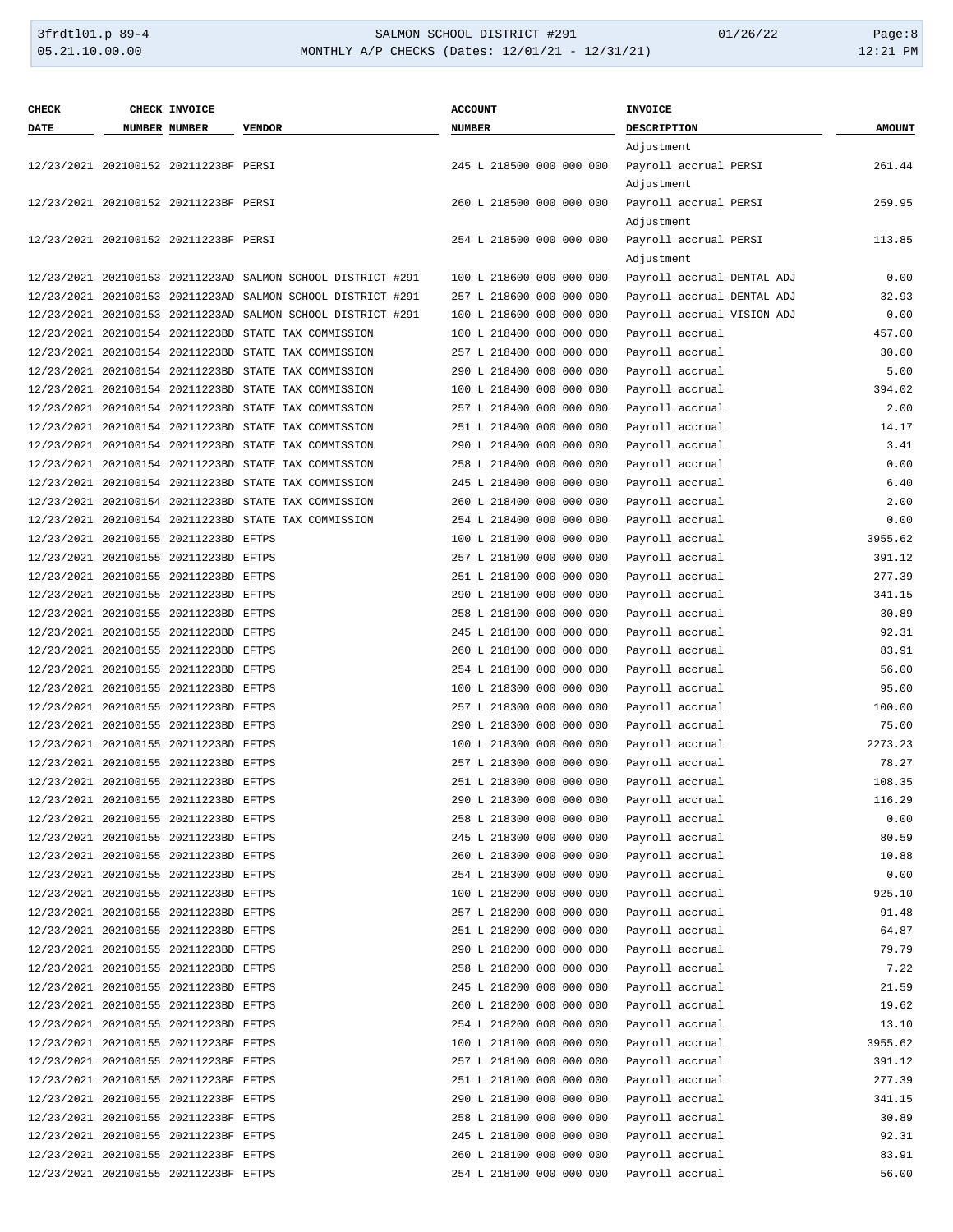| <b>CHECK</b> | CHECK INVOICE                         |                                                             | <b>ACCOUNT</b>           | <b>INVOICE</b>                     |                  |
|--------------|---------------------------------------|-------------------------------------------------------------|--------------------------|------------------------------------|------------------|
| <b>DATE</b>  | NUMBER NUMBER                         | <b>VENDOR</b>                                               | <b>NUMBER</b>            | <b>DESCRIPTION</b>                 | <b>AMOUNT</b>    |
|              |                                       |                                                             |                          | Adjustment                         |                  |
|              | 12/23/2021 202100152 20211223BF PERSI |                                                             | 245 L 218500 000 000 000 | Payroll accrual PERSI              | 261.44           |
|              |                                       |                                                             |                          | Adjustment                         |                  |
|              | 12/23/2021 202100152 20211223BF PERSI |                                                             | 260 L 218500 000 000 000 | Payroll accrual PERSI              | 259.95           |
|              |                                       |                                                             |                          | Adjustment                         |                  |
|              | 12/23/2021 202100152 20211223BF PERSI |                                                             | 254 L 218500 000 000 000 | Payroll accrual PERSI              | 113.85           |
|              |                                       |                                                             |                          | Adjustment                         |                  |
|              |                                       | 12/23/2021 202100153 20211223AD SALMON SCHOOL DISTRICT #291 | 100 L 218600 000 000 000 | Payroll accrual-DENTAL ADJ         | 0.00             |
|              |                                       | 12/23/2021 202100153 20211223AD SALMON SCHOOL DISTRICT #291 | 257 L 218600 000 000 000 | Payroll accrual-DENTAL ADJ         | 32.93            |
|              |                                       | 12/23/2021 202100153 20211223AD SALMON SCHOOL DISTRICT #291 | 100 L 218600 000 000 000 | Payroll accrual-VISION ADJ         | 0.00             |
|              |                                       | 12/23/2021 202100154 20211223BD STATE TAX COMMISSION        | 100 L 218400 000 000 000 | Payroll accrual                    | 457.00           |
|              |                                       | 12/23/2021 202100154 20211223BD STATE TAX COMMISSION        | 257 L 218400 000 000 000 |                                    | 30.00            |
|              |                                       |                                                             |                          | Payroll accrual                    |                  |
|              |                                       | 12/23/2021 202100154 20211223BD STATE TAX COMMISSION        | 290 L 218400 000 000 000 | Payroll accrual                    | 5.00             |
|              |                                       | 12/23/2021 202100154 20211223BD STATE TAX COMMISSION        | 100 L 218400 000 000 000 | Payroll accrual                    | 394.02           |
|              |                                       | 12/23/2021 202100154 20211223BD STATE TAX COMMISSION        | 257 L 218400 000 000 000 | Payroll accrual                    | 2.00             |
|              |                                       | 12/23/2021 202100154 20211223BD STATE TAX COMMISSION        | 251 L 218400 000 000 000 | Payroll accrual                    | 14.17            |
|              |                                       | 12/23/2021 202100154 20211223BD STATE TAX COMMISSION        | 290 L 218400 000 000 000 | Payroll accrual                    | 3.41             |
|              |                                       | 12/23/2021 202100154 20211223BD STATE TAX COMMISSION        | 258 L 218400 000 000 000 | Payroll accrual                    | 0.00             |
|              |                                       | 12/23/2021 202100154 20211223BD STATE TAX COMMISSION        | 245 L 218400 000 000 000 | Payroll accrual                    | 6.40             |
|              |                                       | 12/23/2021 202100154 20211223BD STATE TAX COMMISSION        | 260 L 218400 000 000 000 | Payroll accrual                    | 2.00             |
|              |                                       | 12/23/2021 202100154 20211223BD STATE TAX COMMISSION        | 254 L 218400 000 000 000 | Payroll accrual                    | 0.00             |
|              | 12/23/2021 202100155 20211223BD EFTPS |                                                             | 100 L 218100 000 000 000 | Payroll accrual                    | 3955.62          |
|              | 12/23/2021 202100155 20211223BD EFTPS |                                                             | 257 L 218100 000 000 000 | Payroll accrual                    | 391.12           |
|              | 12/23/2021 202100155 20211223BD EFTPS |                                                             | 251 L 218100 000 000 000 | Payroll accrual                    | 277.39           |
|              | 12/23/2021 202100155 20211223BD EFTPS |                                                             | 290 L 218100 000 000 000 | Payroll accrual                    | 341.15           |
|              | 12/23/2021 202100155 20211223BD EFTPS |                                                             | 258 L 218100 000 000 000 | Payroll accrual                    | 30.89            |
|              | 12/23/2021 202100155 20211223BD EFTPS |                                                             | 245 L 218100 000 000 000 | Payroll accrual                    | 92.31            |
|              | 12/23/2021 202100155 20211223BD EFTPS |                                                             | 260 L 218100 000 000 000 | Payroll accrual                    | 83.91            |
|              | 12/23/2021 202100155 20211223BD EFTPS |                                                             | 254 L 218100 000 000 000 | Payroll accrual                    | 56.00            |
|              | 12/23/2021 202100155 20211223BD EFTPS |                                                             | 100 L 218300 000 000 000 | Payroll accrual                    | 95.00            |
|              | 12/23/2021 202100155 20211223BD EFTPS |                                                             | 257 L 218300 000 000 000 | Payroll accrual                    | 100.00           |
|              | 12/23/2021 202100155 20211223BD EFTPS |                                                             | 290 L 218300 000 000 000 | Payroll accrual                    | 75.00            |
|              | 12/23/2021 202100155 20211223BD EFTPS |                                                             | 100 L 218300 000 000 000 | Payroll accrual                    | 2273.23          |
|              | 12/23/2021 202100155 20211223BD EFTPS |                                                             | 257 L 218300 000 000 000 | Payroll accrual                    | 78.27            |
|              | 12/23/2021 202100155 20211223BD EFTPS |                                                             | 251 L 218300 000 000 000 | Payroll accrual                    | 108.35           |
|              | 12/23/2021 202100155 20211223BD EFTPS |                                                             | 290 L 218300 000 000 000 | Payroll accrual                    | 116.29           |
|              | 12/23/2021 202100155 20211223BD EFTPS |                                                             | 258 L 218300 000 000 000 | Payroll accrual                    | 0.00             |
|              | 12/23/2021 202100155 20211223BD EFTPS |                                                             | 245 L 218300 000 000 000 | Payroll accrual                    | 80.59            |
|              | 12/23/2021 202100155 20211223BD EFTPS |                                                             | 260 L 218300 000 000 000 | Payroll accrual                    | 10.88            |
|              | 12/23/2021 202100155 20211223BD EFTPS |                                                             | 254 L 218300 000 000 000 | Payroll accrual                    | 0.00             |
|              | 12/23/2021 202100155 20211223BD EFTPS |                                                             | 100 L 218200 000 000 000 | Payroll accrual                    | 925.10           |
|              | 12/23/2021 202100155 20211223BD EFTPS |                                                             | 257 L 218200 000 000 000 | Payroll accrual                    | 91.48            |
|              | 12/23/2021 202100155 20211223BD EFTPS |                                                             | 251 L 218200 000 000 000 | Payroll accrual                    | 64.87            |
|              | 12/23/2021 202100155 20211223BD EFTPS |                                                             | 290 L 218200 000 000 000 | Payroll accrual                    | 79.79            |
|              | 12/23/2021 202100155 20211223BD EFTPS |                                                             | 258 L 218200 000 000 000 | Payroll accrual                    | 7.22             |
|              | 12/23/2021 202100155 20211223BD EFTPS |                                                             | 245 L 218200 000 000 000 | Payroll accrual                    | 21.59            |
|              | 12/23/2021 202100155 20211223BD EFTPS |                                                             | 260 L 218200 000 000 000 | Payroll accrual                    | 19.62            |
|              | 12/23/2021 202100155 20211223BD EFTPS |                                                             | 254 L 218200 000 000 000 |                                    |                  |
|              | 12/23/2021 202100155 20211223BF EFTPS |                                                             | 100 L 218100 000 000 000 | Payroll accrual<br>Payroll accrual | 13.10<br>3955.62 |
|              |                                       |                                                             |                          |                                    |                  |
|              | 12/23/2021 202100155 20211223BF EFTPS |                                                             | 257 L 218100 000 000 000 | Payroll accrual                    | 391.12           |
|              | 12/23/2021 202100155 20211223BF EFTPS |                                                             | 251 L 218100 000 000 000 | Payroll accrual                    | 277.39           |
|              | 12/23/2021 202100155 20211223BF EFTPS |                                                             | 290 L 218100 000 000 000 | Payroll accrual                    | 341.15           |
|              | 12/23/2021 202100155 20211223BF EFTPS |                                                             | 258 L 218100 000 000 000 | Payroll accrual                    | 30.89            |
|              | 12/23/2021 202100155 20211223BF EFTPS |                                                             | 245 L 218100 000 000 000 | Payroll accrual                    | 92.31            |
|              | 12/23/2021 202100155 20211223BF EFTPS |                                                             | 260 L 218100 000 000 000 | Payroll accrual                    | 83.91            |
|              | 12/23/2021 202100155 20211223BF EFTPS |                                                             | 254 L 218100 000 000 000 | Payroll accrual                    | 56.00            |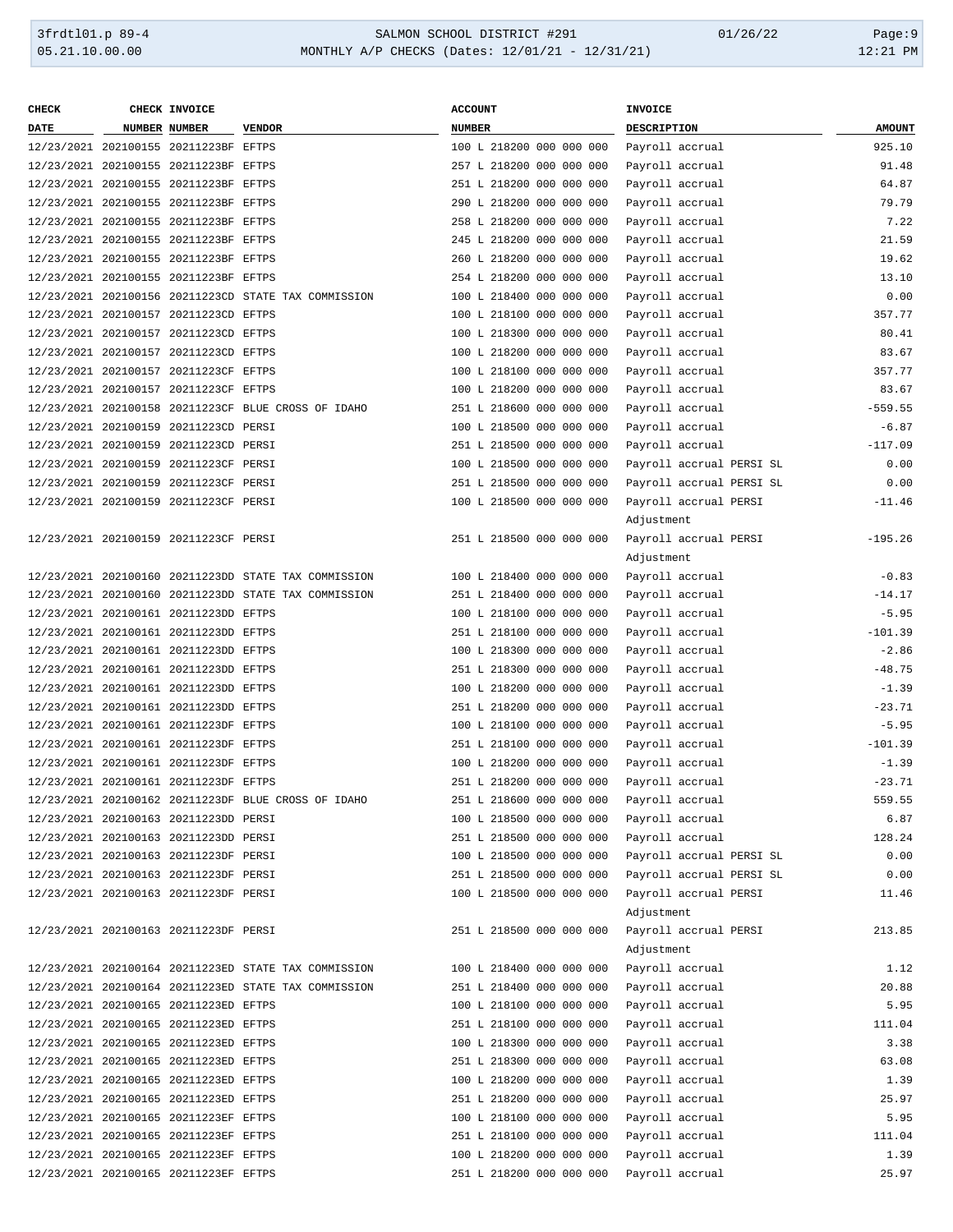## 3frdtl01.p 89-4 <br>
35.21.10.00.00 <br>
35.21.10.00.00 MONTHLY A/P CHECKS (Dates: 12/01/21 - 12/31/21) <br>
31:21 PM MONTHLY A/P CHECKS (Dates: 12/01/21 - 12/31/21)

| <b>CHECK</b> | CHECK INVOICE                         |                                                      | <b>ACCOUNT</b>                           | <b>INVOICE</b>           |               |
|--------------|---------------------------------------|------------------------------------------------------|------------------------------------------|--------------------------|---------------|
| <b>DATE</b>  | NUMBER NUMBER                         | <b>VENDOR</b>                                        | <b>NUMBER</b>                            | DESCRIPTION              | <b>AMOUNT</b> |
|              | 12/23/2021 202100155 20211223BF EFTPS |                                                      | 100 L 218200 000 000 000                 | Payroll accrual          | 925.10        |
|              | 12/23/2021 202100155 20211223BF EFTPS |                                                      | 257 L 218200 000 000 000                 | Payroll accrual          | 91.48         |
|              | 12/23/2021 202100155 20211223BF EFTPS |                                                      | 251 L 218200 000 000 000                 | Payroll accrual          | 64.87         |
|              | 12/23/2021 202100155 20211223BF EFTPS |                                                      | 290 L 218200 000 000 000                 | Payroll accrual          | 79.79         |
|              | 12/23/2021 202100155 20211223BF EFTPS |                                                      | 258 L 218200 000 000 000                 | Payroll accrual          | 7.22          |
|              | 12/23/2021 202100155 20211223BF EFTPS |                                                      | 245 L 218200 000 000 000                 | Payroll accrual          | 21.59         |
|              |                                       |                                                      |                                          |                          |               |
|              | 12/23/2021 202100155 20211223BF EFTPS |                                                      | 260 L 218200 000 000 000                 | Payroll accrual          | 19.62         |
|              | 12/23/2021 202100155 20211223BF EFTPS |                                                      | 254 L 218200 000 000 000                 | Payroll accrual          | 13.10         |
|              |                                       | 12/23/2021 202100156 20211223CD STATE TAX COMMISSION | 100 L 218400 000 000 000                 | Payroll accrual          | 0.00          |
|              | 12/23/2021 202100157 20211223CD EFTPS |                                                      | 100 L 218100 000 000 000                 | Payroll accrual          | 357.77        |
|              | 12/23/2021 202100157 20211223CD EFTPS |                                                      | 100 L 218300 000 000 000                 | Payroll accrual          | 80.41         |
|              | 12/23/2021 202100157 20211223CD EFTPS |                                                      | 100 L 218200 000 000 000                 | Payroll accrual          | 83.67         |
|              | 12/23/2021 202100157 20211223CF EFTPS |                                                      | 100 L 218100 000 000 000                 | Payroll accrual          | 357.77        |
|              | 12/23/2021 202100157 20211223CF EFTPS |                                                      | 100 L 218200 000 000 000                 | Payroll accrual          | 83.67         |
|              |                                       | 12/23/2021 202100158 20211223CF BLUE CROSS OF IDAHO  | 251 L 218600 000 000 000                 | Payroll accrual          | $-559.55$     |
|              | 12/23/2021 202100159 20211223CD PERSI |                                                      | 100 L 218500 000 000 000                 | Payroll accrual          | $-6.87$       |
|              | 12/23/2021 202100159 20211223CD PERSI |                                                      | 251 L 218500 000 000 000                 | Payroll accrual          | $-117.09$     |
|              | 12/23/2021 202100159 20211223CF PERSI |                                                      | 100 L 218500 000 000 000                 | Payroll accrual PERSI SL | 0.00          |
|              | 12/23/2021 202100159 20211223CF PERSI |                                                      | 251 L 218500 000 000 000                 | Payroll accrual PERSI SL | 0.00          |
|              | 12/23/2021 202100159 20211223CF PERSI |                                                      | 100 L 218500 000 000 000                 | Payroll accrual PERSI    | $-11.46$      |
|              |                                       |                                                      |                                          | Adjustment               |               |
|              | 12/23/2021 202100159 20211223CF PERSI |                                                      | 251 L 218500 000 000 000                 | Payroll accrual PERSI    | $-195.26$     |
|              |                                       |                                                      |                                          | Adjustment               |               |
|              |                                       | 12/23/2021 202100160 20211223DD STATE TAX COMMISSION | 100 L 218400 000 000 000                 |                          | $-0.83$       |
|              |                                       |                                                      |                                          | Payroll accrual          |               |
|              |                                       | 12/23/2021 202100160 20211223DD STATE TAX COMMISSION | 251 L 218400 000 000 000                 | Payroll accrual          | $-14.17$      |
|              | 12/23/2021 202100161 20211223DD EFTPS |                                                      | 100 L 218100 000 000 000                 | Payroll accrual          | $-5.95$       |
|              | 12/23/2021 202100161 20211223DD EFTPS |                                                      | 251 L 218100 000 000 000                 | Payroll accrual          | $-101.39$     |
|              | 12/23/2021 202100161 20211223DD EFTPS |                                                      | 100 L 218300 000 000 000                 | Payroll accrual          | $-2.86$       |
|              | 12/23/2021 202100161 20211223DD EFTPS |                                                      | 251 L 218300 000 000 000                 | Payroll accrual          | $-48.75$      |
|              | 12/23/2021 202100161 20211223DD EFTPS |                                                      | 100 L 218200 000 000 000                 | Payroll accrual          | $-1.39$       |
|              | 12/23/2021 202100161 20211223DD EFTPS |                                                      | 251 L 218200 000 000 000                 | Payroll accrual          | $-23.71$      |
|              | 12/23/2021 202100161 20211223DF EFTPS |                                                      | 100 L 218100 000 000 000                 | Payroll accrual          | $-5.95$       |
|              | 12/23/2021 202100161 20211223DF EFTPS |                                                      | 251 L 218100 000 000 000                 | Payroll accrual          | $-101.39$     |
|              | 12/23/2021 202100161 20211223DF EFTPS |                                                      | 100 L 218200 000 000 000                 | Payroll accrual          | $-1.39$       |
|              | 12/23/2021 202100161 20211223DF EFTPS |                                                      | 251 L 218200 000 000 000                 | Payroll accrual          | $-23.71$      |
|              |                                       | 12/23/2021 202100162 20211223DF BLUE CROSS OF IDAHO  | 251 L 218600 000 000 000 Payroll accrual |                          | 559.55        |
|              | 12/23/2021 202100163 20211223DD PERSI |                                                      | 100 L 218500 000 000 000                 | Payroll accrual          | 6.87          |
|              | 12/23/2021 202100163 20211223DD PERSI |                                                      | 251 L 218500 000 000 000                 | Payroll accrual          | 128.24        |
|              | 12/23/2021 202100163 20211223DF PERSI |                                                      | 100 L 218500 000 000 000                 | Payroll accrual PERSI SL | 0.00          |
|              | 12/23/2021 202100163 20211223DF PERSI |                                                      | 251 L 218500 000 000 000                 | Payroll accrual PERSI SL | 0.00          |
|              | 12/23/2021 202100163 20211223DF PERSI |                                                      | 100 L 218500 000 000 000                 | Payroll accrual PERSI    | 11.46         |
|              |                                       |                                                      |                                          | Adjustment               |               |
|              | 12/23/2021 202100163 20211223DF PERSI |                                                      | 251 L 218500 000 000 000                 | Payroll accrual PERSI    | 213.85        |
|              |                                       |                                                      |                                          |                          |               |
|              |                                       |                                                      |                                          | Adjustment               |               |
|              |                                       | 12/23/2021 202100164 20211223ED STATE TAX COMMISSION | 100 L 218400 000 000 000                 | Payroll accrual          | 1.12          |
|              |                                       | 12/23/2021 202100164 20211223ED STATE TAX COMMISSION | 251 L 218400 000 000 000                 | Payroll accrual          | 20.88         |
|              | 12/23/2021 202100165 20211223ED EFTPS |                                                      | 100 L 218100 000 000 000                 | Payroll accrual          | 5.95          |
|              | 12/23/2021 202100165 20211223ED EFTPS |                                                      | 251 L 218100 000 000 000                 | Payroll accrual          | 111.04        |
|              | 12/23/2021 202100165 20211223ED EFTPS |                                                      | 100 L 218300 000 000 000                 | Payroll accrual          | 3.38          |
|              | 12/23/2021 202100165 20211223ED EFTPS |                                                      | 251 L 218300 000 000 000                 | Payroll accrual          | 63.08         |
|              | 12/23/2021 202100165 20211223ED EFTPS |                                                      | 100 L 218200 000 000 000                 | Payroll accrual          | 1.39          |
|              | 12/23/2021 202100165 20211223ED EFTPS |                                                      | 251 L 218200 000 000 000                 | Payroll accrual          | 25.97         |
|              | 12/23/2021 202100165 20211223EF EFTPS |                                                      | 100 L 218100 000 000 000                 | Payroll accrual          | 5.95          |
|              | 12/23/2021 202100165 20211223EF EFTPS |                                                      | 251 L 218100 000 000 000                 | Payroll accrual          | 111.04        |
|              | 12/23/2021 202100165 20211223EF EFTPS |                                                      | 100 L 218200 000 000 000                 | Payroll accrual          | 1.39          |
|              | 12/23/2021 202100165 20211223EF EFTPS |                                                      | 251 L 218200 000 000 000                 | Payroll accrual          | 25.97         |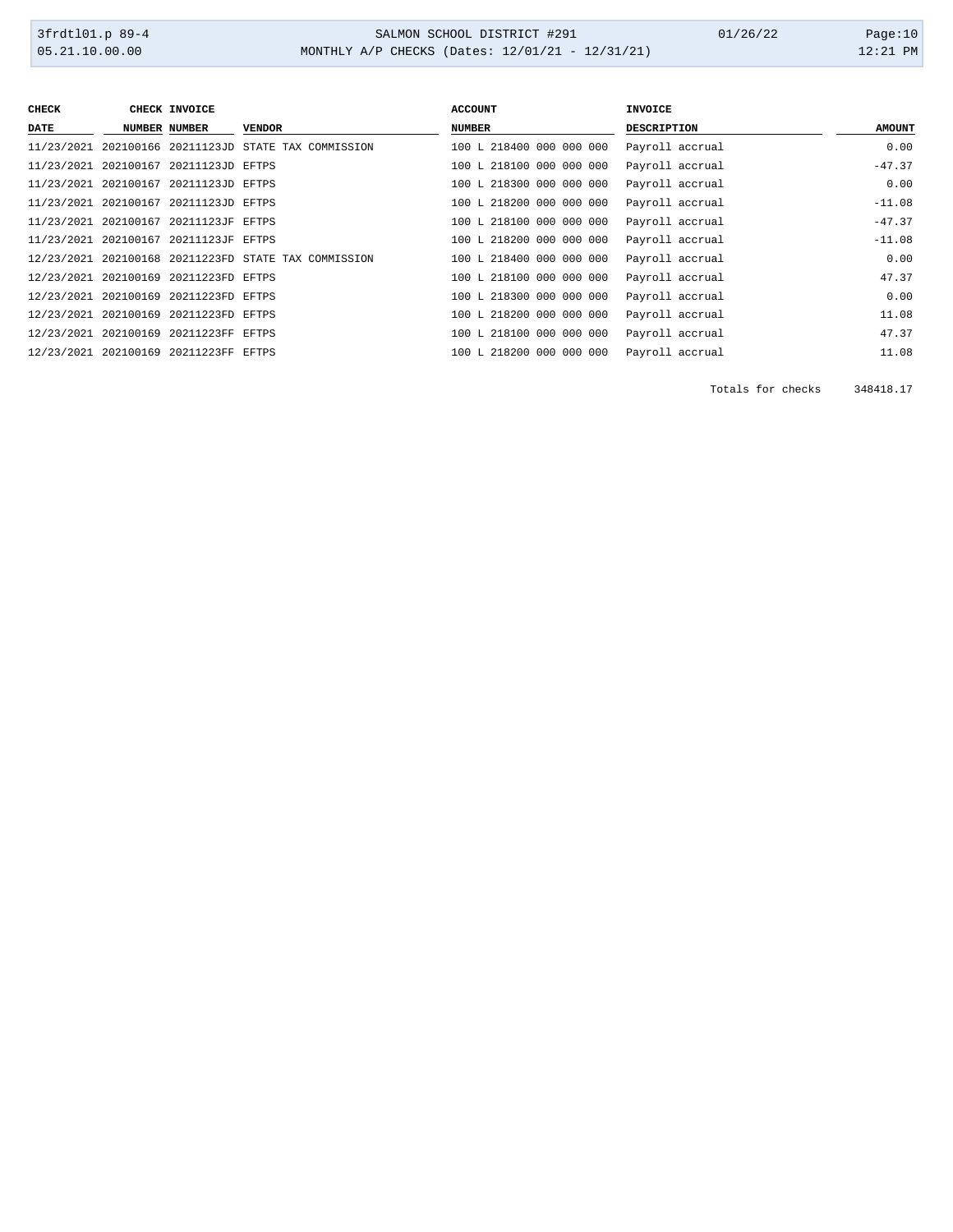| <b>CHECK</b> | CHECK INVOICE                         |                                                      | <b>ACCOUNT</b>           | <b>INVOICE</b>     |               |
|--------------|---------------------------------------|------------------------------------------------------|--------------------------|--------------------|---------------|
| <b>DATE</b>  | NUMBER NUMBER                         | <b>VENDOR</b>                                        | <b>NUMBER</b>            | <b>DESCRIPTION</b> | <b>AMOUNT</b> |
|              |                                       | 11/23/2021 202100166 20211123JD STATE TAX COMMISSION | 100 L 218400 000 000 000 | Payroll accrual    | 0.00          |
|              | 11/23/2021 202100167 20211123JD EFTPS |                                                      | 100 L 218100 000 000 000 | Payroll accrual    | $-47.37$      |
|              | 11/23/2021 202100167 20211123JD EFTPS |                                                      | 100 L 218300 000 000 000 | Payroll accrual    | 0.00          |
|              | 11/23/2021 202100167 20211123JD EFTPS |                                                      | 100 L 218200 000 000 000 | Payroll accrual    | $-11.08$      |
|              | 11/23/2021 202100167 20211123JF EFTPS |                                                      | 100 L 218100 000 000 000 | Payroll accrual    | $-47.37$      |
|              | 11/23/2021 202100167 20211123JF EFTPS |                                                      | 100 L 218200 000 000 000 | Payroll accrual    | $-11.08$      |
|              |                                       | 12/23/2021 202100168 20211223FD STATE TAX COMMISSION | 100 L 218400 000 000 000 | Payroll accrual    | 0.00          |
|              | 12/23/2021 202100169 20211223FD EFTPS |                                                      | 100 L 218100 000 000 000 | Payroll accrual    | 47.37         |
|              | 12/23/2021 202100169 20211223FD EFTPS |                                                      | 100 L 218300 000 000 000 | Payroll accrual    | 0.00          |
|              | 12/23/2021 202100169 20211223FD EFTPS |                                                      | 100 L 218200 000 000 000 | Payroll accrual    | 11.08         |
|              | 12/23/2021 202100169 20211223FF EFTPS |                                                      | 100 L 218100 000 000 000 | Payroll accrual    | 47.37         |
|              | 12/23/2021 202100169 20211223FF EFTPS |                                                      | 100 L 218200 000 000 000 | Payroll accrual    | 11.08         |

Totals for checks 348418.17